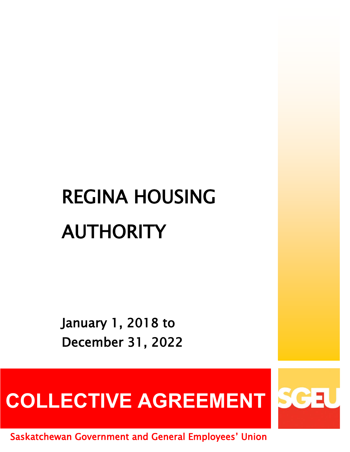# REGINA HOUSING AUTHORITY

January 1, 2018 to December 31, 2022

COLLECTIVE AGREEMENT SGEU

Saskatchewan Government and General Employees' Union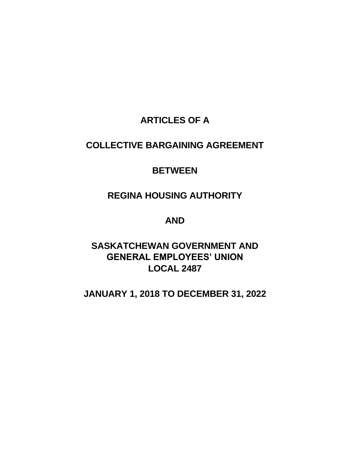# **ARTICLES OF A**

# **COLLECTIVE BARGAINING AGREEMENT**

# **BETWEEN**

# **REGINA HOUSING AUTHORITY**

# **AND**

# **SASKATCHEWAN GOVERNMENT AND GENERAL EMPLOYEES' UNION LOCAL 2487**

# **JANUARY 1, 2018 TO DECEMBER 31, 2022**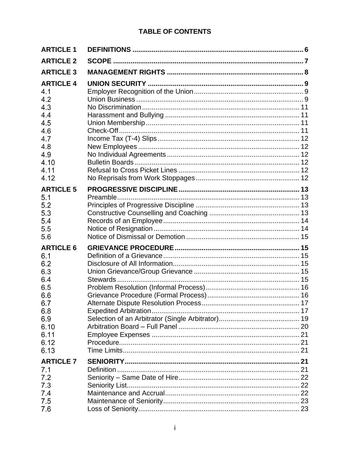| <b>ARTICLE 1</b>                                                                                                |          |  |
|-----------------------------------------------------------------------------------------------------------------|----------|--|
| <b>ARTICLE 2</b>                                                                                                |          |  |
| <b>ARTICLE 3</b>                                                                                                |          |  |
| <b>ARTICLE 4</b><br>4.1<br>4.2<br>4.3<br>4.4<br>4.5<br>4.6<br>4.7<br>4.8<br>4.9<br>4.10<br>4.11<br>4.12         |          |  |
| <b>ARTICLE 5</b><br>5.1<br>5.2<br>5.3<br>5.4<br>5.5<br>5.6                                                      | Preamble |  |
| <b>ARTICLE 6</b><br>6.1<br>6.2<br>6.3<br>6.4<br>6.5<br>6.6<br>6.7<br>6.8<br>6.9<br>6.10<br>6.11<br>6.12<br>6.13 |          |  |
| <b>ARTICLE 7</b><br>7.1<br>7.2<br>7.3<br>7.4<br>7.5<br>7.6                                                      |          |  |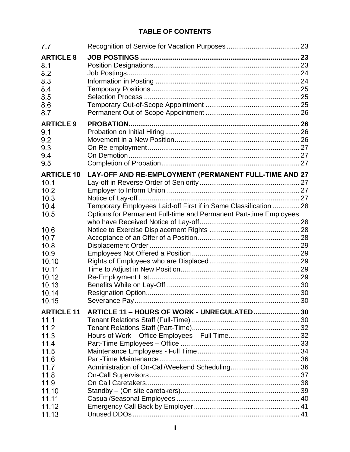| 7.7                                                                           |                                                                                                                                                                                                |  |
|-------------------------------------------------------------------------------|------------------------------------------------------------------------------------------------------------------------------------------------------------------------------------------------|--|
| <b>ARTICLE 8</b><br>8.1<br>8.2<br>8.3<br>8.4<br>8.5<br>8.6<br>8.7             |                                                                                                                                                                                                |  |
| <b>ARTICLE 9</b><br>9.1<br>9.2<br>9.3<br>9.4<br>9.5                           |                                                                                                                                                                                                |  |
| <b>ARTICLE 10</b><br>10.1<br>10.2<br>10.3<br>10.4<br>10.5                     | LAY-OFF AND RE-EMPLOYMENT (PERMANENT FULL-TIME AND 27<br>Temporary Employees Laid-off First if in Same Classification  28<br>Options for Permanent Full-time and Permanent Part-time Employees |  |
| 10.6<br>10.7<br>10.8<br>10.9<br>10.10<br>10.11<br>10.12<br>10.13              |                                                                                                                                                                                                |  |
| 10.14<br>10.15<br><b>ARTICLE 11</b>                                           | ARTICLE 11 - HOURS OF WORK - UNREGULATED 30                                                                                                                                                    |  |
| 11.1<br>11.2<br>11.3<br>11.4<br>11.5<br>11.6<br>11.7<br>11.8<br>11.9<br>11.10 |                                                                                                                                                                                                |  |
| 11.11<br>11.12<br>11.13                                                       |                                                                                                                                                                                                |  |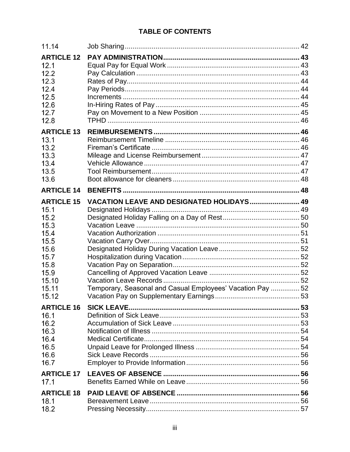| 11.14                                                                                                                |                                                                                                         |  |
|----------------------------------------------------------------------------------------------------------------------|---------------------------------------------------------------------------------------------------------|--|
| <b>ARTICLE 12</b><br>12.1<br>12.2<br>12.3<br>12.4<br>12.5<br>12.6<br>12.7<br>12.8                                    |                                                                                                         |  |
| <b>ARTICLE 13</b><br>13.1                                                                                            |                                                                                                         |  |
| 13.2                                                                                                                 |                                                                                                         |  |
| 13.3<br>13.4                                                                                                         |                                                                                                         |  |
| 13.5<br>13.6                                                                                                         |                                                                                                         |  |
| <b>ARTICLE 14</b>                                                                                                    |                                                                                                         |  |
| <b>ARTICLE 15</b><br>15.1<br>15.2<br>15.3<br>15.4<br>15.5<br>15.6<br>15.7<br>15.8<br>15.9<br>15.10<br>15.11<br>15.12 | VACATION LEAVE AND DESIGNATED HOLIDAYS 49<br>Temporary, Seasonal and Casual Employees' Vacation Pay  52 |  |
| <b>ARTICLE 16</b><br>16.1<br>16.2<br>16.3<br>16.4<br>16.5<br>16.6<br>16.7                                            |                                                                                                         |  |
| <b>ARTICLE 17</b><br>17.1                                                                                            |                                                                                                         |  |
| <b>ARTICLE 18</b><br>18.1<br>18.2                                                                                    |                                                                                                         |  |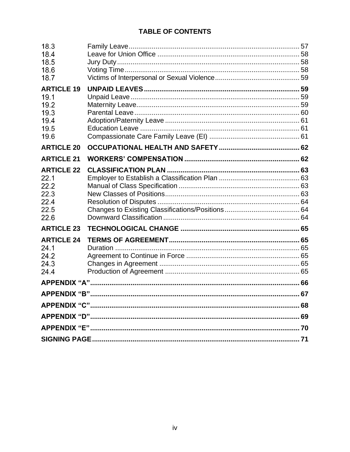| 18.3<br>18.4<br>18.5<br>18.6<br>18.7 |  |  |  |
|--------------------------------------|--|--|--|
| <b>ARTICLE 19</b>                    |  |  |  |
| 19.1                                 |  |  |  |
| 19.2<br>19.3                         |  |  |  |
| 19.4                                 |  |  |  |
| 19.5                                 |  |  |  |
| 19.6                                 |  |  |  |
| <b>ARTICLE 20</b>                    |  |  |  |
| <b>ARTICLE 21</b>                    |  |  |  |
| <b>ARTICLE 22</b>                    |  |  |  |
| 22.1                                 |  |  |  |
| 22.2<br>22.3                         |  |  |  |
| 22.4                                 |  |  |  |
| 22.5                                 |  |  |  |
| 22.6                                 |  |  |  |
| <b>ARTICLE 23</b>                    |  |  |  |
| <b>ARTICLE 24</b>                    |  |  |  |
| 24.1                                 |  |  |  |
| 24.2<br>24.3                         |  |  |  |
| 24.4                                 |  |  |  |
|                                      |  |  |  |
|                                      |  |  |  |
|                                      |  |  |  |
|                                      |  |  |  |
|                                      |  |  |  |
|                                      |  |  |  |
|                                      |  |  |  |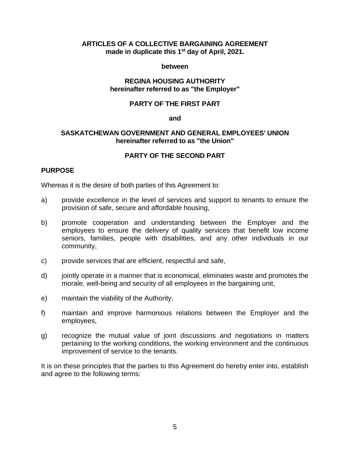### **ARTICLES OF A COLLECTIVE BARGAINING AGREEMENT made in duplicate this 1 st day of April, 2021.**

### **between**

### **REGINA HOUSING AUTHORITY hereinafter referred to as "the Employer"**

### **PARTY OF THE FIRST PART**

### **and**

### **SASKATCHEWAN GOVERNMENT AND GENERAL EMPLOYEES' UNION hereinafter referred to as "the Union"**

# **PARTY OF THE SECOND PART**

### **PURPOSE**

Whereas it is the desire of both parties of this Agreement to:

- a) provide excellence in the level of services and support to tenants to ensure the provision of safe, secure and affordable housing,
- b) promote cooperation and understanding between the Employer and the employees to ensure the delivery of quality services that benefit low income seniors, families, people with disabilities, and any other individuals in our community,
- c) provide services that are efficient, respectful and safe,
- d) jointly operate in a manner that is economical, eliminates waste and promotes the morale, well-being and security of all employees in the bargaining unit,
- e) maintain the viability of the Authority,
- f) maintain and improve harmonious relations between the Employer and the employees,
- g) recognize the mutual value of joint discussions and negotiations in matters pertaining to the working conditions, the working environment and the continuous improvement of service to the tenants.

It is on these principles that the parties to this Agreement do hereby enter into, establish and agree to the following terms: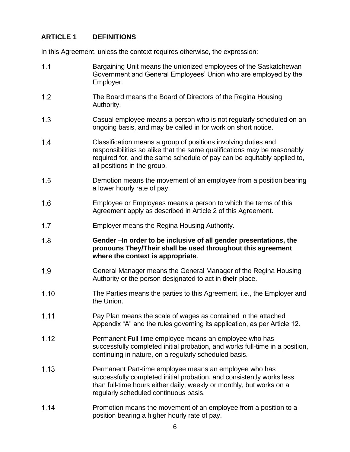# <span id="page-7-0"></span>**ARTICLE 1 DEFINITIONS**

In this Agreement, unless the context requires otherwise, the expression:

- $1.1$ Bargaining Unit means the unionized employees of the Saskatchewan Government and General Employees' Union who are employed by the Employer.
- $1.2$ The Board means the Board of Directors of the Regina Housing Authority.
- $1.3$ Casual employee means a person who is not regularly scheduled on an ongoing basis, and may be called in for work on short notice.
- $1.4$ Classification means a group of positions involving duties and responsibilities so alike that the same qualifications may be reasonably required for, and the same schedule of pay can be equitably applied to, all positions in the group.
- $1.5$ Demotion means the movement of an employee from a position bearing a lower hourly rate of pay.
- $1.6$ Employee or Employees means a person to which the terms of this Agreement apply as described in Article 2 of this Agreement.
- $1.7$ Employer means the Regina Housing Authority.
- $1.8$ **Gender** –**In order to be inclusive of all gender presentations, the pronouns They/Their shall be used throughout this agreement where the context is appropriate**.
- $1.9$ General Manager means the General Manager of the Regina Housing Authority or the person designated to act in **their** place.
- $1.10$ The Parties means the parties to this Agreement, i.e., the Employer and the Union.
- $1.11$ Pay Plan means the scale of wages as contained in the attached Appendix "A" and the rules governing its application, as per Article 12.
- $1.12$ Permanent Full-time employee means an employee who has successfully completed initial probation, and works full-time in a position, continuing in nature, on a regularly scheduled basis.
- $1.13$ Permanent Part-time employee means an employee who has successfully completed initial probation, and consistently works less than full-time hours either daily, weekly or monthly, but works on a regularly scheduled continuous basis.
- $1.14$ Promotion means the movement of an employee from a position to a position bearing a higher hourly rate of pay.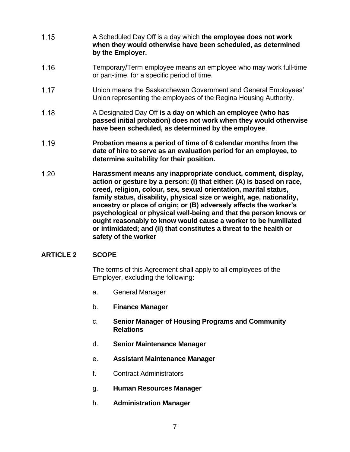- $1.15$ A Scheduled Day Off is a day which **the employee does not work when they would otherwise have been scheduled, as determined by the Employer.**
- $1.16$ Temporary/Term employee means an employee who may work full-time or part-time, for a specific period of time.
- $1.17$ Union means the Saskatchewan Government and General Employees' Union representing the employees of the Regina Housing Authority.
- $1.18$ A Designated Day Off **is a day on which an employee (who has passed initial probation) does not work when they would otherwise have been scheduled, as determined by the employee**.
- $1.19$ **Probation means a period of time of 6 calendar months from the date of hire to serve as an evaluation period for an employee, to determine suitability for their position.**
- $1.20$ **Harassment means any inappropriate conduct, comment, display, action or gesture by a person: (i) that either: (A) is based on race, creed, religion, colour, sex, sexual orientation, marital status, family status, disability, physical size or weight, age, nationality, ancestry or place of origin; or (B) adversely affects the worker's psychological or physical well-being and that the person knows or ought reasonably to know would cause a worker to be humiliated or intimidated; and (ii) that constitutes a threat to the health or safety of the worker**

# <span id="page-8-0"></span>**ARTICLE 2 SCOPE**

The terms of this Agreement shall apply to all employees of the Employer, excluding the following:

- a. General Manager
- b. **Finance Manager**
- c. **Senior Manager of Housing Programs and Community Relations**
- d. **Senior Maintenance Manager**
- e. **Assistant Maintenance Manager**
- f. Contract Administrators
- g. **Human Resources Manager**
- h. **Administration Manager**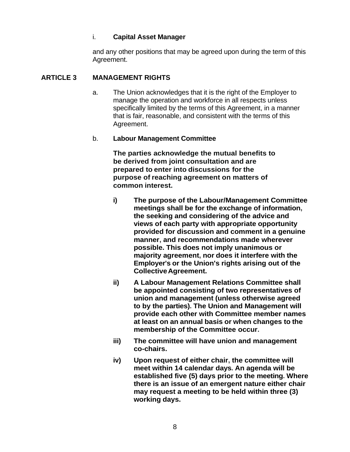# i. **Capital Asset Manager**

and any other positions that may be agreed upon during the term of this Agreement.

# <span id="page-9-0"></span>**ARTICLE 3 MANAGEMENT RIGHTS**

a. The Union acknowledges that it is the right of the Employer to manage the operation and workforce in all respects unless specifically limited by the terms of this Agreement, in a manner that is fair, reasonable, and consistent with the terms of this Agreement.

# b. **Labour Management Committee**

**The parties acknowledge the mutual benefits to be derived from joint consultation and are prepared to enter into discussions for the purpose of reaching agreement on matters of common interest.**

- **i) The purpose of the Labour/Management Committee meetings shall be for the exchange of information, the seeking and considering of the advice and views of each party with appropriate opportunity provided for discussion and comment in a genuine manner, and recommendations made wherever possible. This does not imply unanimous or majority agreement, nor does it interfere with the Employer's or the Union's rights arising out of the CollectiveAgreement.**
- **ii) A Labour Management Relations Committee shall be appointed consisting of two representatives of union and management (unless otherwise agreed to by the parties). The Union and Management will provide each other with Committee member names at least on an annual basis or when changes to the membership of the Committee occur.**
- **iii) The committee will have union and management co-chairs.**
- **iv) Upon request of either chair, the committee will meet within 14 calendar days. An agenda will be established five (5) days prior to the meeting. Where there is an issue of an emergent nature either chair may request a meeting to be held within three (3) working days.**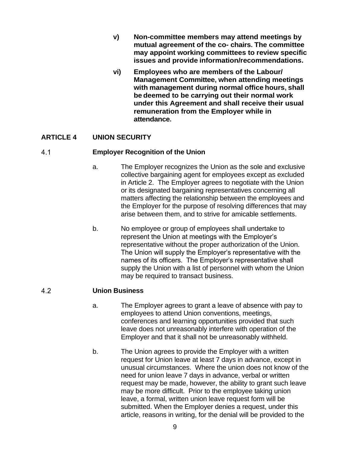- **v) Non-committee members may attend meetings by mutual agreement of the co- chairs. The committee may appoint working committees to review specific issues and provide information/recommendations.**
- **vi) Employees who are members of the Labour/ Management Committee, when attending meetings with management during normal office hours, shall be deemed to be carrying out their normal work under this Agreement and shall receive their usual remuneration from the Employer while in attendance.**

# <span id="page-10-0"></span>**ARTICLE 4 UNION SECURITY**

#### <span id="page-10-1"></span> $4<sub>1</sub>$ **Employer Recognition of the Union**

- a. The Employer recognizes the Union as the sole and exclusive collective bargaining agent for employees except as excluded in Article 2. The Employer agrees to negotiate with the Union or its designated bargaining representatives concerning all matters affecting the relationship between the employees and the Employer for the purpose of resolving differences that may arise between them, and to strive for amicable settlements.
- b. No employee or group of employees shall undertake to represent the Union at meetings with the Employer's representative without the proper authorization of the Union. The Union will supply the Employer's representative with the names of its officers. The Employer's representative shall supply the Union with a list of personnel with whom the Union may be required to transact business.

#### <span id="page-10-2"></span> $4.2$ **Union Business**

- a. The Employer agrees to grant a leave of absence with pay to employees to attend Union conventions, meetings, conferences and learning opportunities provided that such leave does not unreasonably interfere with operation of the Employer and that it shall not be unreasonably withheld.
- b. The Union agrees to provide the Employer with a written request for Union leave at least 7 days in advance, except in unusual circumstances. Where the union does not know of the need for union leave 7 days in advance, verbal or written request may be made, however, the ability to grant such leave may be more difficult. Prior to the employee taking union leave, a formal, written union leave request form will be submitted. When the Employer denies a request, under this article, reasons in writing, for the denial will be provided to the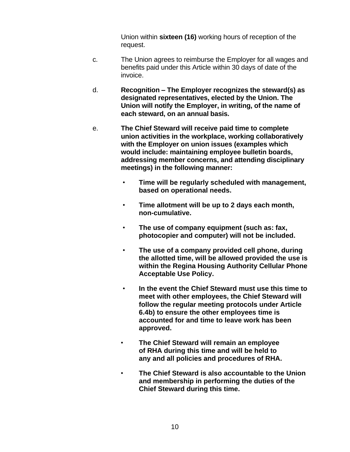Union within **sixteen (16)** working hours of reception of the request.

- c. The Union agrees to reimburse the Employer for all wages and benefits paid under this Article within 30 days of date of the invoice.
- d. **Recognition – The Employer recognizes the steward(s) as designated representatives, elected by the Union. The Union will notify the Employer, in writing, of the name of each steward, on an annual basis.**
- e. **The Chief Steward will receive paid time to complete union activities in the workplace, working collaboratively with the Employer on union issues (examples which would include: maintaining employee bulletin boards, addressing member concerns, and attending disciplinary meetings) in the following manner:**
	- **Time will be regularly scheduled with management, based on operational needs.**
	- **Time allotment will be up to 2 days each month, non-cumulative.**
	- **The use of company equipment (such as: fax, photocopier and computer) will not be included.**
	- **The use of a company provided cell phone, during the allotted time, will be allowed provided the use is within the Regina Housing Authority Cellular Phone Acceptable Use Policy.**
	- **In the event the Chief Steward must use this time to meet with other employees, the Chief Steward will follow the regular meeting protocols under Article 6.4b) to ensure the other employees time is accounted for and time to leave work has been approved.**
	- **The Chief Steward will remain an employee of RHA during this time and will be held to any and all policies and procedures of RHA.**
	- **The Chief Steward is also accountable to the Union and membership in performing the duties of the Chief Steward during this time.**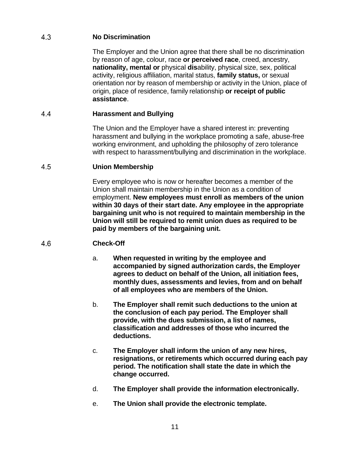#### <span id="page-12-0"></span>4.3 **No Discrimination**

The Employer and the Union agree that there shall be no discrimination by reason of age, colour, race **or perceived race**, creed, ancestry, **nationality, mental or** physical **dis**ability, physical size, sex, political activity, religious affiliation, marital status, **family status,** or sexual orientation nor by reason of membership or activity in the Union, place of origin, place of residence, family relationship **or receipt of public assistance**.

#### <span id="page-12-1"></span> $4.4$ **Harassment and Bullying**

The Union and the Employer have a shared interest in: preventing harassment and bullying in the workplace promoting a safe, abuse-free working environment, and upholding the philosophy of zero tolerance with respect to harassment/bullying and discrimination in the workplace.

#### <span id="page-12-2"></span>4.5 **Union Membership**

Every employee who is now or hereafter becomes a member of the Union shall maintain membership in the Union as a condition of employment. **New employees must enroll as members of the union within 30 days of their start date. Any employee in the appropriate bargaining unit who is not required to maintain membership in the Union will still be required to remit union dues as required to be paid by members of the bargaining unit.**

#### <span id="page-12-3"></span> $4.6$ **Check-Off**

- a. **When requested in writing by the employee and accompanied by signed authorization cards, the Employer agrees to deduct on behalf of the Union, all initiation fees, monthly dues, assessments and levies, from and on behalf of all employees who are members of the Union.**
- b. **The Employer shall remit such deductions to the union at the conclusion of each pay period. The Employer shall provide, with the dues submission, a list of names, classification and addresses of those who incurred the deductions.**
- c. **The Employer shall inform the union of any new hires, resignations, or retirements which occurred during each pay period. The notification shall state the date in which the change occurred.**
- d. **The Employer shall provide the information electronically.**
- e. **The Union shall provide the electronic template.**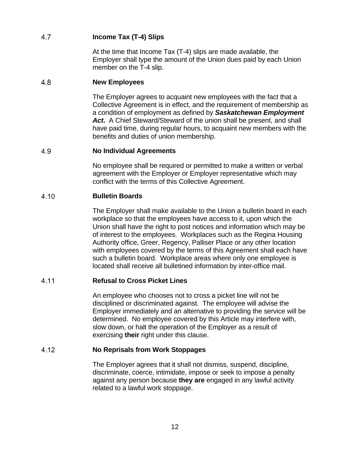#### <span id="page-13-0"></span>4.7 **Income Tax (T-4) Slips**

At the time that Income Tax (T-4) slips are made available, the Employer shall type the amount of the Union dues paid by each Union member on the T-4 slip.

#### <span id="page-13-1"></span>4.8 **New Employees**

The Employer agrees to acquaint new employees with the fact that a Collective Agreement is in effect, and the requirement of membership as a condition of employment as defined by *Saskatchewan Employment Act***.** A Chief Steward/Steward of the union shall be present, and shall have paid time, during regular hours, to acquaint new members with the benefits and duties of union membership.

#### <span id="page-13-2"></span>4.9 **No Individual Agreements**

No employee shall be required or permitted to make a written or verbal agreement with the Employer or Employer representative which may conflict with the terms of this Collective Agreement.

#### <span id="page-13-3"></span>4.10 **Bulletin Boards**

The Employer shall make available to the Union a bulletin board in each workplace so that the employees have access to it, upon which the Union shall have the right to post notices and information which may be of interest to the employees. Workplaces such as the Regina Housing Authority office, Greer, Regency, Palliser Place or any other location with employees covered by the terms of this Agreement shall each have such a bulletin board. Workplace areas where only one employee is located shall receive all bulletined information by inter-office mail.

#### <span id="page-13-4"></span>4.11 **Refusal to Cross Picket Lines**

An employee who chooses not to cross a picket line will not be disciplined or discriminated against. The employee will advise the Employer immediately and an alternative to providing the service will be determined. No employee covered by this Article may interfere with, slow down, or halt the operation of the Employer as a result of exercising **their** right under this clause.

#### <span id="page-13-5"></span>4.12 **No Reprisals from Work Stoppages**

The Employer agrees that it shall not dismiss, suspend, discipline, discriminate, coerce, intimidate, impose or seek to impose a penalty against any person because **they are** engaged in any lawful activity related to a lawful work stoppage.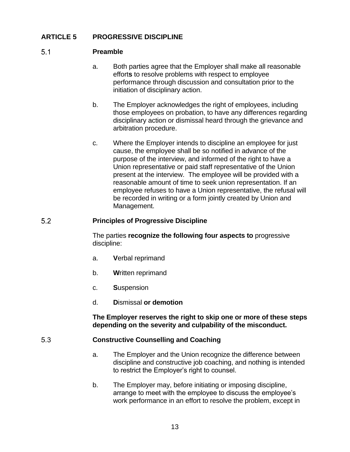# <span id="page-14-0"></span>**ARTICLE 5 PROGRESSIVE DISCIPLINE**

#### <span id="page-14-1"></span> $5.1$ **Preamble**

- a. Both parties agree that the Employer shall make all reasonable effort**s** to resolve problems with respect to employee performance through discussion and consultation prior to the initiation of disciplinary action.
- b. The Employer acknowledges the right of employees, including those employees on probation, to have any differences regarding disciplinary action or dismissal heard through the grievance and arbitration procedure.
- c. Where the Employer intends to discipline an employee for just cause, the employee shall be so notified in advance of the purpose of the interview, and informed of the right to have a Union representative or paid staff representative of the Union present at the interview.The employee will be provided with a reasonable amount of time to seek union representation. If an employee refuses to have a Union representative, the refusal will be recorded in writing or a form jointly created by Union and Management.

#### <span id="page-14-2"></span> $5.2$ **Principles of Progressive Discipline**

The parties **recognize the following four aspects to** progressive discipline:

- a. **V**erbal reprimand
- b. **W**ritten reprimand
- c. **S**uspension
- d. **D**ismissal **or demotion**

**The Employer reserves the right to skip one or more of these steps depending on the severity and culpability of the misconduct.**

#### <span id="page-14-3"></span> $5.3$ **Constructive Counselling and Coaching**

- a. The Employer and the Union recognize the difference between discipline and constructive job coaching, and nothing is intended to restrict the Employer's right to counsel.
- b. The Employer may, before initiating or imposing discipline, arrange to meet with the employee to discuss the employee's work performance in an effort to resolve the problem, except in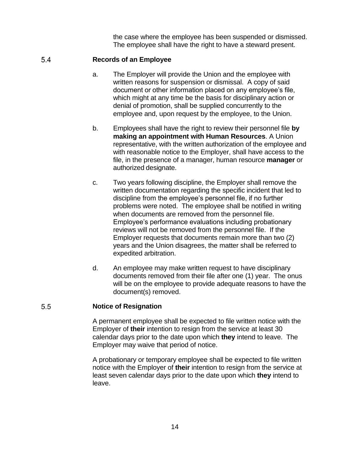the case where the employee has been suspended or dismissed. The employee shall have the right to have a steward present.

#### <span id="page-15-0"></span>5.4 **Records of an Employee**

- a. The Employer will provide the Union and the employee with written reasons for suspension or dismissal. A copy of said document or other information placed on any employee's file, which might at any time be the basis for disciplinary action or denial of promotion, shall be supplied concurrently to the employee and, upon request by the employee, to the Union.
- b. Employees shall have the right to review their personnel file **by making an appointment with Human Resources**. A Union representative, with the written authorization of the employee and with reasonable notice to the Employer, shall have access to the file, in the presence of a manager, human resource **manager** or authorized designate.
- c. Two years following discipline, the Employer shall remove the written documentation regarding the specific incident that led to discipline from the employee's personnel file, if no further problems were noted. The employee shall be notified in writing when documents are removed from the personnel file. Employee's performance evaluations including probationary reviews will not be removed from the personnel file. If the Employer requests that documents remain more than two (2) years and the Union disagrees, the matter shall be referred to expedited arbitration.
- d. An employee may make written request to have disciplinary documents removed from their file after one (1) year. The onus will be on the employee to provide adequate reasons to have the document(s) removed.

#### <span id="page-15-1"></span> $5.5$ **Notice of Resignation**

A permanent employee shall be expected to file written notice with the Employer of **their** intention to resign from the service at least 30 calendar days prior to the date upon which **they** intend to leave. The Employer may waive that period of notice.

A probationary or temporary employee shall be expected to file written notice with the Employer of **their** intention to resign from the service at least seven calendar days prior to the date upon which **they** intend to leave.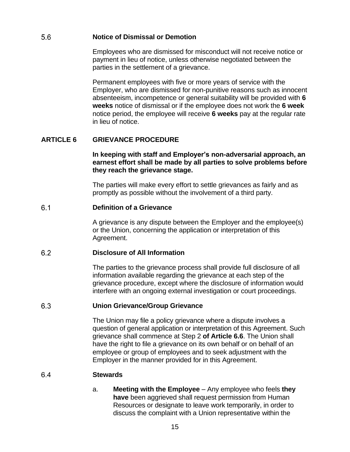#### <span id="page-16-0"></span>5.6 **Notice of Dismissal or Demotion**

Employees who are dismissed for misconduct will not receive notice or payment in lieu of notice, unless otherwise negotiated between the parties in the settlement of a grievance.

Permanent employees with five or more years of service with the Employer, who are dismissed for non-punitive reasons such as innocent absenteeism, incompetence or general suitability will be provided with **6 weeks** notice of dismissal or if the employee does not work the **6 week** notice period, the employee will receive **6 weeks** pay at the regular rate in lieu of notice.

# <span id="page-16-1"></span>**ARTICLE 6 GRIEVANCE PROCEDURE**

**In keeping with staff and Employer's non-adversarial approach, an earnest effort shall be made by all parties to solve problems before they reach the grievance stage.**

The parties will make every effort to settle grievances as fairly and as promptly as possible without the involvement of a third party.

#### <span id="page-16-2"></span> $6.1$ **Definition of a Grievance**

A grievance is any dispute between the Employer and the employee(s) or the Union, concerning the application or interpretation of this Agreement.

#### <span id="page-16-3"></span>6.2 **Disclosure of All Information**

The parties to the grievance process shall provide full disclosure of all information available regarding the grievance at each step of the grievance procedure, except where the disclosure of information would interfere with an ongoing external investigation or court proceedings.

#### <span id="page-16-4"></span>6.3 **Union Grievance/Group Grievance**

The Union may file a policy grievance where a dispute involves a question of general application or interpretation of this Agreement. Such grievance shall commence at Step 2 **of Article 6.6**. The Union shall have the right to file a grievance on its own behalf or on behalf of an employee or group of employees and to seek adjustment with the Employer in the manner provided for in this Agreement.

#### <span id="page-16-5"></span>6.4 **Stewards**

a. **Meeting with the Employee** – Any employee who feels **they have** been aggrieved shall request permission from Human Resources or designate to leave work temporarily, in order to discuss the complaint with a Union representative within the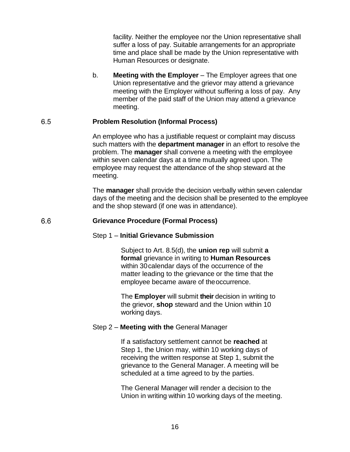facility. Neither the employee nor the Union representative shall suffer a loss of pay. Suitable arrangements for an appropriate time and place shall be made by the Union representative with Human Resources or designate.

b. **Meeting with the Employer** – The Employer agrees that one Union representative and the grievor may attend a grievance meeting with the Employer without suffering a loss of pay. Any member of the paid staff of the Union may attend a grievance meeting.

#### <span id="page-17-0"></span>6.5 **Problem Resolution (Informal Process)**

An employee who has a justifiable request or complaint may discuss such matters with the **department manager** in an effort to resolve the problem. The **manager** shall convene a meeting with the employee within seven calendar days at a time mutually agreed upon. The employee may request the attendance of the shop steward at the meeting.

The **manager** shall provide the decision verbally within seven calendar days of the meeting and the decision shall be presented to the employee and the shop steward (if one was in attendance).

#### <span id="page-17-1"></span>6.6 **Grievance Procedure (Formal Process)**

# Step 1 – **Initial Grievance Submission**

Subject to Art. 8.5(d), the **union rep** will submit **a formal** grievance in writing to **Human Resources** within 30calendar days of the occurrence of the matter leading to the grievance or the time that the employee became aware of theoccurrence.

The **Employer** will submit **their** decision in writing to the grievor, **shop** steward and the Union within 10 working days.

# Step 2 – **Meeting with the** General Manager

If a satisfactory settlement cannot be **reached** at Step 1, the Union may, within 10 working days of receiving the written response at Step 1, submit the grievance to the General Manager. A meeting will be scheduled at a time agreed to by the parties.

The General Manager will render a decision to the Union in writing within 10 working days of the meeting.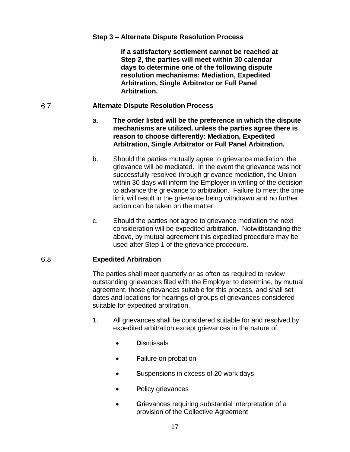# **Step 3 – Alternate Dispute Resolution Process**

**If a satisfactory settlement cannot be reached at Step 2, the parties will meet within 30 calendar days to determine one of the following dispute resolution mechanisms: Mediation, Expedited Arbitration, Single Arbitrator or Full Panel Arbitration.**

#### <span id="page-18-0"></span>6.7 **Alternate Dispute Resolution Process**

- a. **The order listed will be the preference in which the dispute mechanisms are utilized, unless the parties agree there is reason to choose differently: Mediation, Expedited Arbitration, Single Arbitrator or Full Panel Arbitration.**
- b. Should the parties mutually agree to grievance mediation, the grievance will be mediated. In the event the grievance was not successfully resolved through grievance mediation, the Union within 30 days will inform the Employer in writing of the decision to advance the grievance to arbitration. Failure to meet the time limit will result in the grievance being withdrawn and no further action can be taken on the matter.
- c. Should the parties not agree to grievance mediation the next consideration will be expedited arbitration. Notwithstanding the above, by mutual agreement this expedited procedure may be used after Step 1 of the grievance procedure.

#### <span id="page-18-1"></span> $6.8$ **Expedited Arbitration**

The parties shall meet quarterly or as often as required to review outstanding grievances filed with the Employer to determine, by mutual agreement, those grievances suitable for this process, and shall set dates and locations for hearings of groups of grievances considered suitable for expedited arbitration.

- 1. All grievances shall be considered suitable for and resolved by expedited arbitration except grievances in the nature of:
	- **D**ismissals
	- **Failure on probation**
	- **S**uspensions in excess of 20 work days
	- **P**olicy grievances
	- **G**rievances requiring substantial interpretation of a provision of the Collective Agreement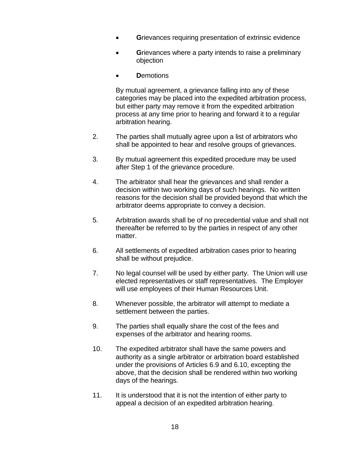- **Grievances requiring presentation of extrinsic evidence**
- **G**rievances where a party intends to raise a preliminary objection
- **D**emotions

By mutual agreement, a grievance falling into any of these categories may be placed into the expedited arbitration process, but either party may remove it from the expedited arbitration process at any time prior to hearing and forward it to a regular arbitration hearing.

- 2. The parties shall mutually agree upon a list of arbitrators who shall be appointed to hear and resolve groups of grievances.
- 3. By mutual agreement this expedited procedure may be used after Step 1 of the grievance procedure.
- 4. The arbitrator shall hear the grievances and shall render a decision within two working days of such hearings. No written reasons for the decision shall be provided beyond that which the arbitrator deems appropriate to convey a decision.
- 5. Arbitration awards shall be of no precedential value and shall not thereafter be referred to by the parties in respect of any other matter.
- 6. All settlements of expedited arbitration cases prior to hearing shall be without prejudice.
- 7. No legal counsel will be used by either party. The Union will use elected representatives or staff representatives. The Employer will use employees of their Human Resources Unit.
- 8. Whenever possible, the arbitrator will attempt to mediate a settlement between the parties.
- 9. The parties shall equally share the cost of the fees and expenses of the arbitrator and hearing rooms.
- 10. The expedited arbitrator shall have the same powers and authority as a single arbitrator or arbitration board established under the provisions of Articles 6.9 and 6.10, excepting the above, that the decision shall be rendered within two working days of the hearings.
- 11. It is understood that it is not the intention of either party to appeal a decision of an expedited arbitration hearing.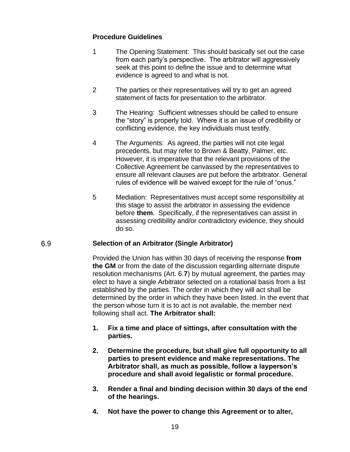# **Procedure Guidelines**

- 1 The Opening Statement: This should basically set out the case from each party's perspective. The arbitrator will aggressively seek at this point to define the issue and to determine what evidence is agreed to and what is not.
- 2 The parties or their representatives will try to get an agreed statement of facts for presentation to the arbitrator.
- 3 The Hearing: Sufficient witnesses should be called to ensure the "story" is properly told. Where it is an issue of credibility or conflicting evidence, the key individuals must testify.
- 4 The Arguments: As agreed, the parties will not cite legal precedents, but may refer to Brown & Beatty, Palmer, etc. However, it is imperative that the relevant provisions of the Collective Agreement be canvassed by the representatives to ensure all relevant clauses are put before the arbitrator. General rules of evidence will be waived except for the rule of "onus."
- 5 Mediation: Representatives must accept some responsibility at this stage to assist the arbitrator in assessing the evidence before **them**. Specifically, if the representatives can assist in assessing credibility and/or contradictory evidence, they should do so.

#### <span id="page-20-0"></span>6.9 **Selection of an Arbitrator (Single Arbitrator)**

Provided the Union has within 30 days of receiving the response **from the GM** or from the date of the discussion regarding alternate dispute resolution mechanisms (Art. 6.**7**) by mutual agreement, the parties may elect to have a single Arbitrator selected on a rotational basis from a list established by the parties. The order in which they will act shall be determined by the order in which they have been listed. In the event that the person whose turn it is to act is not available, the member next following shall act. **The Arbitrator shall:**

- **1. Fix a time and place of sittings, after consultation with the parties.**
- **2. Determine the procedure, but shall give full opportunity to all parties to present evidence and make representations. The Arbitrator shall, as much as possible, follow a layperson's procedure and shall avoid legalistic or formal procedure.**
- **3. Render a final and binding decision within 30 days of the end of the hearings.**
- **4. Not have the power to change this Agreement or to alter,**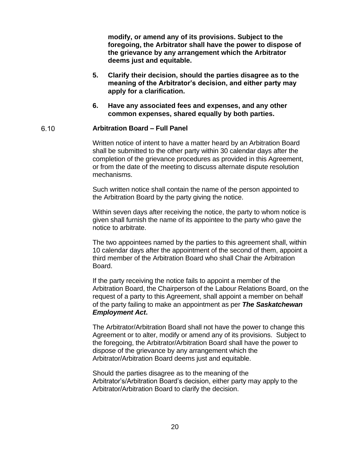**modify, or amend any of its provisions. Subject to the foregoing, the Arbitrator shall have the power to dispose of the grievance by any arrangement which the Arbitrator deems just and equitable.**

- **5. Clarify their decision, should the parties disagree as to the meaning of the Arbitrator's decision, and either party may apply for a clarification.**
- **6. Have any associated fees and expenses, and any other common expenses, shared equally by both parties.**

#### <span id="page-21-0"></span> $6.10$ **Arbitration Board – Full Panel**

Written notice of intent to have a matter heard by an Arbitration Board shall be submitted to the other party within 30 calendar days after the completion of the grievance procedures as provided in this Agreement, or from the date of the meeting to discuss alternate dispute resolution mechanisms.

Such written notice shall contain the name of the person appointed to the Arbitration Board by the party giving the notice.

Within seven days after receiving the notice, the party to whom notice is given shall furnish the name of its appointee to the party who gave the notice to arbitrate.

The two appointees named by the parties to this agreement shall, within 10 calendar days after the appointment of the second of them, appoint a third member of the Arbitration Board who shall Chair the Arbitration Board.

If the party receiving the notice fails to appoint a member of the Arbitration Board, the Chairperson of the Labour Relations Board, on the request of a party to this Agreement, shall appoint a member on behalf of the party failing to make an appointment as per *The Saskatchewan Employment Act***.**

The Arbitrator/Arbitration Board shall not have the power to change this Agreement or to alter, modify or amend any of its provisions. Subject to the foregoing, the Arbitrator/Arbitration Board shall have the power to dispose of the grievance by any arrangement which the Arbitrator/Arbitration Board deems just and equitable.

Should the parties disagree as to the meaning of the Arbitrator's/Arbitration Board's decision, either party may apply to the Arbitrator/Arbitration Board to clarify the decision.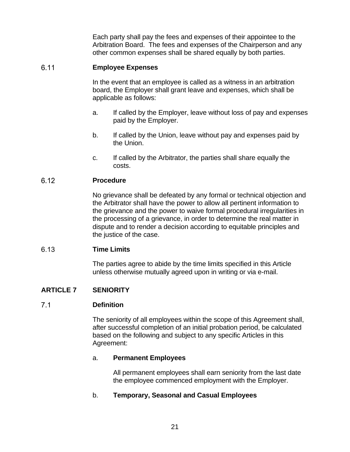Each party shall pay the fees and expenses of their appointee to the Arbitration Board. The fees and expenses of the Chairperson and any other common expenses shall be shared equally by both parties.

#### <span id="page-22-0"></span> $6.11$ **Employee Expenses**

In the event that an employee is called as a witness in an arbitration board, the Employer shall grant leave and expenses, which shall be applicable as follows:

- a. If called by the Employer, leave without loss of pay and expenses paid by the Employer.
- b. If called by the Union, leave without pay and expenses paid by the Union.
- c. If called by the Arbitrator, the parties shall share equally the costs.

#### <span id="page-22-1"></span>6.12 **Procedure**

No grievance shall be defeated by any formal or technical objection and the Arbitrator shall have the power to allow all pertinent information to the grievance and the power to waive formal procedural irregularities in the processing of a grievance, in order to determine the real matter in dispute and to render a decision according to equitable principles and the justice of the case.

#### <span id="page-22-2"></span>6.13 **Time Limits**

The parties agree to abide by the time limits specified in this Article unless otherwise mutually agreed upon in writing or via e-mail.

# <span id="page-22-3"></span>**ARTICLE 7 SENIORITY**

#### <span id="page-22-4"></span> $7.1$ **Definition**

The seniority of all employees within the scope of this Agreement shall, after successful completion of an initial probation period, be calculated based on the following and subject to any specific Articles in this Agreement:

# a. **Permanent Employees**

All permanent employees shall earn seniority from the last date the employee commenced employment with the Employer.

# b. **Temporary, Seasonal and Casual Employees**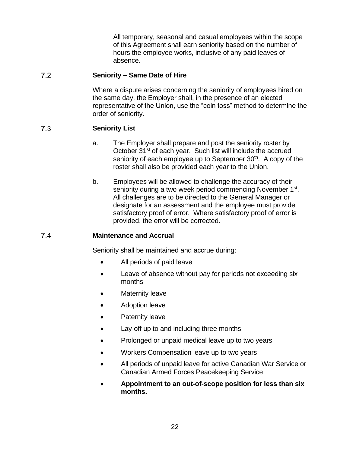All temporary, seasonal and casual employees within the scope of this Agreement shall earn seniority based on the number of hours the employee works, inclusive of any paid leaves of absence.

#### <span id="page-23-0"></span> $7.2$ **Seniority – Same Date of Hire**

Where a dispute arises concerning the seniority of employees hired on the same day, the Employer shall, in the presence of an elected representative of the Union, use the "coin toss" method to determine the order of seniority.

#### <span id="page-23-1"></span> $7.3$ **Seniority List**

- a. The Employer shall prepare and post the seniority roster by October 31<sup>st</sup> of each year. Such list will include the accrued seniority of each employee up to September 30<sup>th</sup>. A copy of the roster shall also be provided each year to the Union.
- b. Employees will be allowed to challenge the accuracy of their seniority during a two week period commencing November 1<sup>st</sup>. All challenges are to be directed to the General Manager or designate for an assessment and the employee must provide satisfactory proof of error. Where satisfactory proof of error is provided, the error will be corrected.

#### <span id="page-23-2"></span>7.4 **Maintenance and Accrual**

Seniority shall be maintained and accrue during:

- All periods of paid leave
- Leave of absence without pay for periods not exceeding six months
- **Maternity leave**
- Adoption leave
- Paternity leave
- Lay-off up to and including three months
- Prolonged or unpaid medical leave up to two years
- Workers Compensation leave up to two years
- All periods of unpaid leave for active Canadian War Service or Canadian Armed Forces Peacekeeping Service
- **Appointment to an out-of-scope position for less than six months.**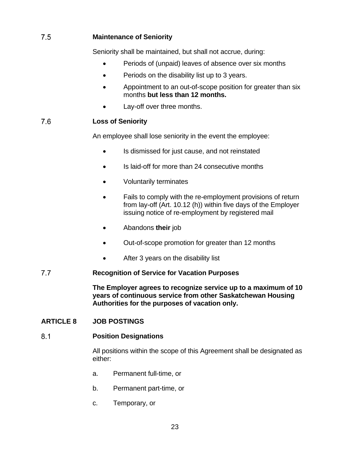#### <span id="page-24-0"></span> $7.5$ **Maintenance of Seniority**

Seniority shall be maintained, but shall not accrue, during:

- Periods of (unpaid) leaves of absence over six months
- Periods on the disability list up to 3 years.
- Appointment to an out-of-scope position for greater than six months **but less than 12 months.**
- Lay-off over three months.

#### <span id="page-24-1"></span>7.6 **Loss of Seniority**

An employee shall lose seniority in the event the employee:

- Is dismissed for just cause, and not reinstated
- Is laid-off for more than 24 consecutive months
- Voluntarily terminates
- Fails to comply with the re-employment provisions of return from lay-off (Art. 10.12 (h)) within five days of the Employer issuing notice of re-employment by registered mail
- Abandons **their** job
- Out-of-scope promotion for greater than 12 months
- After 3 years on the disability list

#### <span id="page-24-2"></span> $7.7$ **Recognition of Service for Vacation Purposes**

**The Employer agrees to recognize service up to a maximum of 10 years of continuous service from other Saskatchewan Housing Authorities for the purposes of vacation only.**

# <span id="page-24-3"></span>**ARTICLE 8 JOB POSTINGS**

#### <span id="page-24-4"></span> $8.1$ **Position Designations**

All positions within the scope of this Agreement shall be designated as either:

- a. Permanent full-time, or
- b. Permanent part-time, or
- c. Temporary, or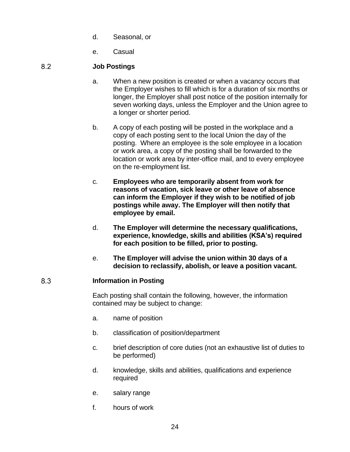- d. Seasonal, or
- e. Casual

#### <span id="page-25-0"></span>8.2 **Job Postings**

- a. When a new position is created or when a vacancy occurs that the Employer wishes to fill which is for a duration of six months or longer, the Employer shall post notice of the position internally for seven working days, unless the Employer and the Union agree to a longer or shorter period.
- b. A copy of each posting will be posted in the workplace and a copy of each posting sent to the local Union the day of the posting. Where an employee is the sole employee in a location or work area, a copy of the posting shall be forwarded to the location or work area by inter-office mail, and to every employee on the re-employment list.
- c. **Employees who are temporarily absent from work for reasons of vacation, sick leave or other leave of absence can inform the Employer if they wish to be notified of job postings while away. The Employer will then notify that employee by email.**
- d. **The Employer will determine the necessary qualifications, experience, knowledge, skills and abilities (KSA's) required for each position to be filled, prior to posting.**
- e. **The Employer will advise the union within 30 days of a decision to reclassify, abolish, or leave a position vacant.**

#### <span id="page-25-1"></span>8.3 **Information in Posting**

Each posting shall contain the following, however, the information contained may be subject to change:

- a. name of position
- b. classification of position/department
- c. brief description of core duties (not an exhaustive list of duties to be performed)
- d. knowledge, skills and abilities, qualifications and experience required
- e. salary range
- f. hours of work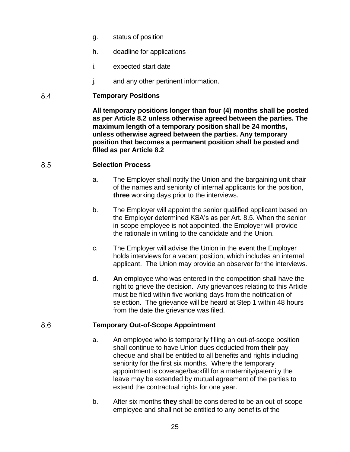- g. status of position
- h. deadline for applications
- i. expected start date
- j. and any other pertinent information.

#### <span id="page-26-0"></span>8.4 **Temporary Positions**

**All temporary positions longer than four (4) months shall be posted as per Article 8.2 unless otherwise agreed between the parties. The maximum length of a temporary position shall be 24 months, unless otherwise agreed between the parties. Any temporary position that becomes a permanent position shall be posted and filled as per Article 8.2**

#### <span id="page-26-1"></span>8.5 **Selection Process**

- a. The Employer shall notify the Union and the bargaining unit chair of the names and seniority of internal applicants for the position, **three** working days prior to the interviews.
- b. The Employer will appoint the senior qualified applicant based on the Employer determined KSA's as per Art. 8.5. When the senior in-scope employee is not appointed, the Employer will provide the rationale in writing to the candidate and the Union.
- c. The Employer will advise the Union in the event the Employer holds interviews for a vacant position, which includes an internal applicant. The Union may provide an observer for the interviews.
- d. **An** employee who was entered in the competition shall have the right to grieve the decision. Any grievances relating to this Article must be filed within five working days from the notification of selection. The grievance will be heard at Step 1 within 48 hours from the date the grievance was filed.

#### <span id="page-26-2"></span>8.6 **Temporary Out-of-Scope Appointment**

- a. An employee who is temporarily filling an out-of-scope position shall continue to have Union dues deducted from **their** pay cheque and shall be entitled to all benefits and rights including seniority for the first six months. Where the temporary appointment is coverage/backfill for a maternity/paternity the leave may be extended by mutual agreement of the parties to extend the contractual rights for one year.
- b. After six months **they** shall be considered to be an out-of-scope employee and shall not be entitled to any benefits of the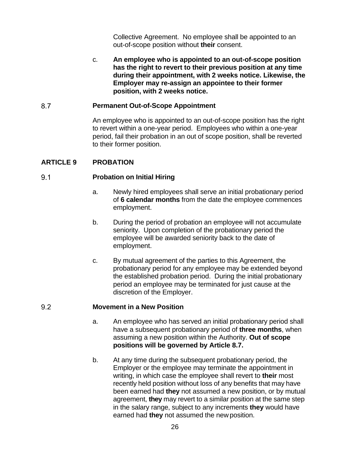Collective Agreement. No employee shall be appointed to an out-of-scope position without **their** consent.

c. **An employee who is appointed to an out-of-scope position has the right to revert to their previous position at any time during their appointment, with 2 weeks notice. Likewise, the Employer may re-assign an appointee to their former position, with 2 weeks notice.**

#### <span id="page-27-0"></span>8.7 **Permanent Out-of-Scope Appointment**

An employee who is appointed to an out-of-scope position has the right to revert within a one-year period. Employees who within a one-year period, fail their probation in an out of scope position, shall be reverted to their former position.

# <span id="page-27-1"></span>**ARTICLE 9 PROBATION**

#### <span id="page-27-2"></span> $9.1$ **Probation on Initial Hiring**

- a. Newly hired employees shall serve an initial probationary period of **6 calendar months** from the date the employee commences employment.
- b. During the period of probation an employee will not accumulate seniority. Upon completion of the probationary period the employee will be awarded seniority back to the date of employment.
- c. By mutual agreement of the parties to this Agreement, the probationary period for any employee may be extended beyond the established probation period. During the initial probationary period an employee may be terminated for just cause at the discretion of the Employer.

#### <span id="page-27-3"></span>9.2 **Movement in a New Position**

- a. An employee who has served an initial probationary period shall have a subsequent probationary period of **three months**, when assuming a new position within the Authority. **Out of scope positions will be governed by Article 8.7.**
- b. At any time during the subsequent probationary period, the Employer or the employee may terminate the appointment in writing, in which case the employee shall revert to **their** most recently held position without loss of any benefits that may have been earned had **they** not assumed a new position, or by mutual agreement, **they** may revert to a similar position at the same step in the salary range, subject to any increments **they** would have earned had **they** not assumed the newposition.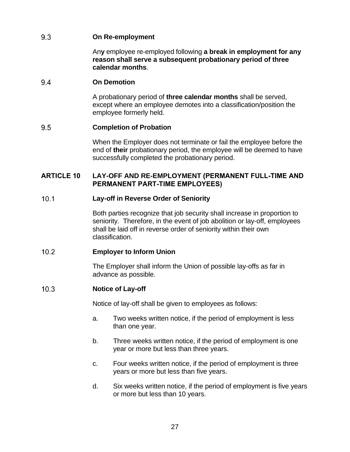#### <span id="page-28-0"></span>9.3 **On Re-employment**

An**y** employee re-employed following **a break in employment for any reason shall serve a subsequent probationary period of three calendar months**.

#### <span id="page-28-1"></span>9.4 **On Demotion**

A probationary period of **three calendar months** shall be served, except where an employee demotes into a classification/position the employee formerly held.

#### <span id="page-28-2"></span>9.5 **Completion of Probation**

When the Employer does not terminate or fail the employee before the end of **their** probationary period, the employee will be deemed to have successfully completed the probationary period.

# <span id="page-28-3"></span>**ARTICLE 10 LAY-OFF AND RE-EMPLOYMENT (PERMANENT FULL-TIME AND PERMANENT PART-TIME EMPLOYEES)**

#### <span id="page-28-4"></span> $10.1$ **Lay-off in Reverse Order of Seniority**

Both parties recognize that job security shall increase in proportion to seniority. Therefore, in the event of job abolition or lay-off, employees shall be laid off in reverse order of seniority within their own classification.

#### <span id="page-28-5"></span> $10.2$ **Employer to Inform Union**

The Employer shall inform the Union of possible lay-offs as far in advance as possible.

#### <span id="page-28-6"></span> $10.3$ **Notice of Lay-off**

Notice of lay-off shall be given to employees as follows:

- a. Two weeks written notice, if the period of employment is less than one year.
- b. Three weeks written notice, if the period of employment is one year or more but less than three years.
- c. Four weeks written notice, if the period of employment is three years or more but less than five years.
- d. Six weeks written notice, if the period of employment is five years or more but less than 10 years.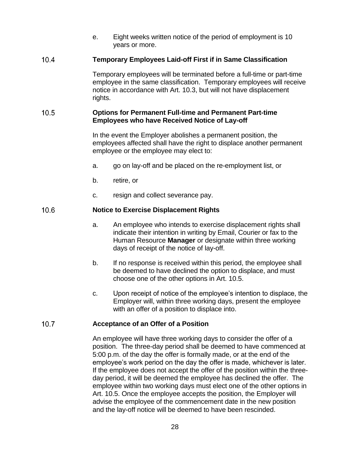e. Eight weeks written notice of the period of employment is 10 years or more.

#### <span id="page-29-0"></span> $10.4$ **Temporary Employees Laid-off First if in Same Classification**

Temporary employees will be terminated before a full-time or part-time employee in the same classification. Temporary employees will receive notice in accordance with Art. 10.3, but will not have displacement rights.

#### <span id="page-29-1"></span> $10.5$ **Options for Permanent Full-time and Permanent Part-time Employees who have Received Notice of Lay-off**

In the event the Employer abolishes a permanent position, the employees affected shall have the right to displace another permanent employee or the employee may elect to:

- a. go on lay-off and be placed on the re-employment list, or
- b. retire, or
- c. resign and collect severance pay.

#### <span id="page-29-2"></span> $10.6$ **Notice to Exercise Displacement Rights**

- a. An employee who intends to exercise displacement rights shall indicate their intention in writing by Email, Courier or fax to the Human Resource **Manager** or designate within three working days of receipt of the notice of lay-off.
- b. If no response is received within this period, the employee shall be deemed to have declined the option to displace, and must choose one of the other options in Art. 10.5.
- c. Upon receipt of notice of the employee's intention to displace, the Employer will, within three working days, present the employee with an offer of a position to displace into.

#### <span id="page-29-3"></span> $10.7$ **Acceptance of an Offer of a Position**

An employee will have three working days to consider the offer of a position. The three-day period shall be deemed to have commenced at 5:00 p.m. of the day the offer is formally made, or at the end of the employee's work period on the day the offer is made, whichever is later. If the employee does not accept the offer of the position within the threeday period, it will be deemed the employee has declined the offer. The employee within two working days must elect one of the other options in Art. 10.5. Once the employee accepts the position, the Employer will advise the employee of the commencement date in the new position and the lay-off notice will be deemed to have been rescinded.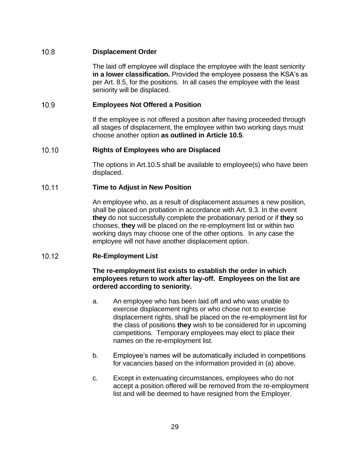#### <span id="page-30-0"></span> $10.8$ **Displacement Order**

The laid off employee will displace the employee with the least seniority **in a lower classification.** Provided the employee possess the KSA's as per Art. 8.5, for the positions. In all cases the employee with the least seniority will be displaced.

#### <span id="page-30-1"></span> $10.9<sup>°</sup>$ **Employees Not Offered a Position**

If the employee is not offered a position after having proceeded through all stages of displacement, the employee within two working days must choose another option **as outlined in Article 10.5**.

#### <span id="page-30-2"></span> $10.10$ **Rights of Employees who are Displaced**

The options in Art.10.5 shall be available to employee(s) who have been displaced.

#### <span id="page-30-3"></span>10.11 **Time to Adjust in New Position**

An employee who, as a result of displacement assumes a new position, shall be placed on probation in accordance with Art. 9.3. In the event **they** do not successfully complete the probationary period or if **they** so chooses, **they** will be placed on the re-employment list or within two working days may choose one of the other options. In any case the employee will not have another displacement option.

#### <span id="page-30-4"></span> $10.12$ **Re-Employment List**

### **The re-employment list exists to establish the order in which employees return to work after lay-off. Employees on the list are ordered according to seniority.**

- a. An employee who has been laid off and who was unable to exercise displacement rights or who chose not to exercise displacement rights, shall be placed on the re-employment list for the class of positions **they** wish to be considered for in upcoming competitions. Temporary employees may elect to place their names on the re-employment list.
- b. Employee's names will be automatically included in competitions for vacancies based on the information provided in (a) above.
- c. Except in extenuating circumstances, employees who do not accept a position offered will be removed from the re-employment list and will be deemed to have resigned from the Employer.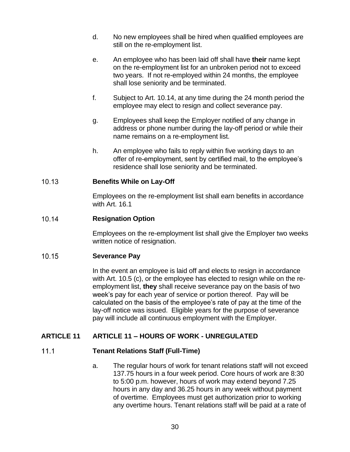- d. No new employees shall be hired when qualified employees are still on the re-employment list.
- e. An employee who has been laid off shall have **their** name kept on the re-employment list for an unbroken period not to exceed two years. If not re-employed within 24 months, the employee shall lose seniority and be terminated.
- f. Subject to Art. 10.14, at any time during the 24 month period the employee may elect to resign and collect severance pay.
- g. Employees shall keep the Employer notified of any change in address or phone number during the lay-off period or while their name remains on a re-employment list.
- h. An employee who fails to reply within five working days to an offer of re-employment, sent by certified mail, to the employee's residence shall lose seniority and be terminated.

#### <span id="page-31-0"></span> $10.13$ **Benefits While on Lay-Off**

Employees on the re-employment list shall earn benefits in accordance with Art. 16.1

#### <span id="page-31-1"></span>10.14 **Resignation Option**

Employees on the re-employment list shall give the Employer two weeks written notice of resignation.

#### <span id="page-31-2"></span>10.15 **Severance Pay**

In the event an employee is laid off and elects to resign in accordance with Art. 10.5 (c), or the employee has elected to resign while on the reemployment list, **they** shall receive severance pay on the basis of two week's pay for each year of service or portion thereof. Pay will be calculated on the basis of the employee's rate of pay at the time of the lay-off notice was issued. Eligible years for the purpose of severance pay will include all continuous employment with the Employer.

# <span id="page-31-4"></span><span id="page-31-3"></span>**ARTICLE 11 ARTICLE 11 – HOURS OF WORK - UNREGULATED**

#### $11.1$ **Tenant Relations Staff (Full-Time)**

a. The regular hours of work for tenant relations staff will not exceed 137.75 hours in a four week period. Core hours of work are 8:30 to 5:00 p.m. however, hours of work may extend beyond 7.25 hours in any day and 36.25 hours in any week without payment of overtime. Employees must get authorization prior to working any overtime hours. Tenant relations staff will be paid at a rate of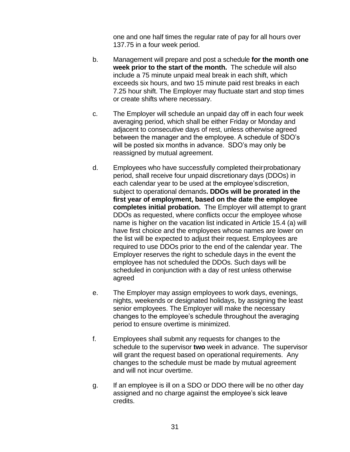one and one half times the regular rate of pay for all hours over 137.75 in a four week period.

- b. Management will prepare and post a schedule **for the month one week prior to the start of the month.** The schedule will also include a 75 minute unpaid meal break in each shift, which exceeds six hours, and two 15 minute paid rest breaks in each 7.25 hour shift. The Employer may fluctuate start and stop times or create shifts where necessary.
- c. The Employer will schedule an unpaid day off in each four week averaging period, which shall be either Friday or Monday and adjacent to consecutive days of rest, unless otherwise agreed between the manager and the employee. A schedule of SDO's will be posted six months in advance. SDO's may only be reassigned by mutual agreement.
- d. Employees who have successfully completed theirprobationary period, shall receive four unpaid discretionary days (DDOs) in each calendar year to be used at the employee'sdiscretion, subject to operational demands**. DDOs will be prorated in the first year of employment, based on the date the employee completes initial probation.** The Employer will attempt to grant DDOs as requested, where conflicts occur the employee whose name is higher on the vacation list indicated in Article 15.4 (a) will have first choice and the employees whose names are lower on the list will be expected to adjust their request. Employees are required to use DDOs prior to the end of the calendar year. The Employer reserves the right to schedule days in the event the employee has not scheduled the DDOs. Such days will be scheduled in conjunction with a day of rest unless otherwise agreed
- e. The Employer may assign employees to work days, evenings, nights, weekends or designated holidays, by assigning the least senior employees. The Employer will make the necessary changes to the employee's schedule throughout the averaging period to ensure overtime is minimized.
- f. Employees shall submit any requests for changes to the schedule to the supervisor **two** week in advance. The supervisor will grant the request based on operational requirements. Any changes to the schedule must be made by mutual agreement and will not incur overtime.
- g. If an employee is ill on a SDO or DDO there will be no other day assigned and no charge against the employee's sick leave credits.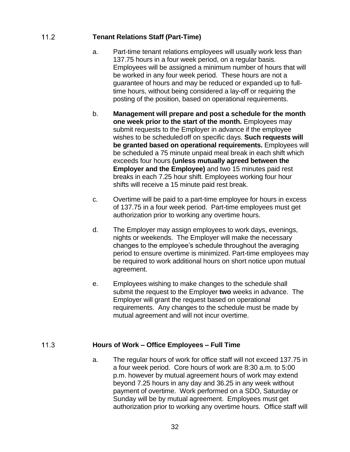#### <span id="page-33-0"></span> $11.2$ **Tenant Relations Staff (Part-Time)**

- a. Part-time tenant relations employees will usually work less than 137.75 hours in a four week period, on a regular basis. Employees will be assigned a minimum number of hours that will be worked in any four week period. These hours are not a guarantee of hours and may be reduced or expanded up to fulltime hours, without being considered a lay-off or requiring the posting of the position, based on operational requirements.
- b. **Management will prepare and post a schedule for the month one week prior to the start of the month.** Employees may submit requests to the Employer in advance if the employee wishes to be scheduledoff on specific days. **Such requests will be granted based on operational requirements.** Employees will be scheduled a 75 minute unpaid meal break in each shift which exceeds four hours **(unless mutually agreed between the Employer and the Employee)** and two 15 minutes paid rest breaks in each 7.25 hour shift. Employees working four hour shifts will receive a 15 minute paid rest break.
- c. Overtime will be paid to a part-time employee for hours in excess of 137.75 in a four week period. Part-time employees must get authorization prior to working any overtime hours.
- d. The Employer may assign employees to work days, evenings, nights or weekends. The Employer will make the necessary changes to the employee's schedule throughout the averaging period to ensure overtime is minimized. Part-time employees may be required to work additional hours on short notice upon mutual agreement.
- e. Employees wishing to make changes to the schedule shall submit the request to the Employer **two** weeks in advance. The Employer will grant the request based on operational requirements. Any changes to the schedule must be made by mutual agreement and will not incur overtime.

#### <span id="page-33-1"></span> $11.3$ **Hours of Work – Office Employees – Full Time**

a. The regular hours of work for office staff will not exceed 137.75 in a four week period. Core hours of work are 8:30 a.m. to 5:00 p.m. however by mutual agreement hours of work may extend beyond 7.25 hours in any day and 36.25 in any week without payment of overtime. Work performed on a SDO, Saturday or Sunday will be by mutual agreement. Employees must get authorization prior to working any overtime hours. Office staff will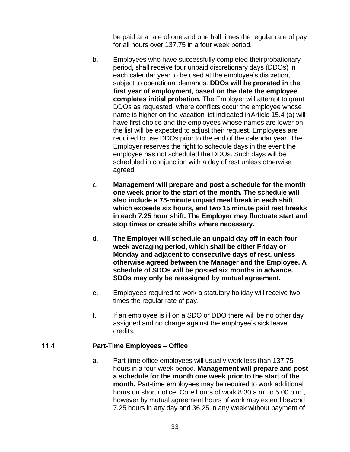be paid at a rate of one and one half times the regular rate of pay for all hours over 137.75 in a four week period.

- b. Employees who have successfully completed theirprobationary period, shall receive four unpaid discretionary days (DDOs) in each calendar year to be used at the employee's discretion, subject to operational demands. **DDOs will be prorated in the first year of employment, based on the date the employee completes initial probation.** The Employer will attempt to grant DDOs as requested, where conflicts occur the employee whose name is higher on the vacation list indicated inArticle 15.4 (a) will have first choice and the employees whose names are lower on the list will be expected to adjust their request. Employees are required to use DDOs prior to the end of the calendar year. The Employer reserves the right to schedule days in the event the employee has not scheduled the DDOs. Such days will be scheduled in conjunction with a day of rest unless otherwise agreed.
- c. **Management will prepare and post a schedule for the month one week prior to the start of the month. The schedule will also include a 75-minute unpaid meal break in each shift, which exceeds six hours, and two 15 minute paid rest breaks in each 7.25 hour shift. The Employer may fluctuate start and stop times or create shifts where necessary.**
- d. **The Employer will schedule an unpaid day off in each four week averaging period, which shall be either Friday or Monday and adjacent to consecutive days of rest, unless otherwise agreed between the Manager and the Employee. A schedule of SDOs will be posted six months in advance. SDOs may only be reassigned by mutual agreement.**
- e. Employees required to work a statutory holiday will receive two times the regular rate of pay.
- f. If an employee is ill on a SDO or DDO there will be no other day assigned and no charge against the employee's sick leave credits.

#### <span id="page-34-0"></span> $11.4$ **Part-Time Employees – Office**

a. Part-time office employees will usually work less than 137.75 hours in a four-week period. **Management will prepare and post a schedule for the month one week prior to the start of the month.** Part-time employees may be required to work additional hours on short notice. Core hours of work 8:30 a.m. to 5:00 p.m., however by mutual agreement hours of work may extend beyond 7.25 hours in any day and 36.25 in any week without payment of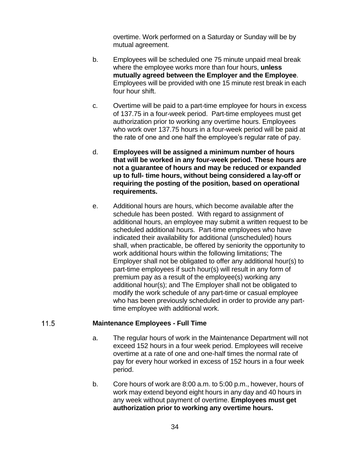overtime. Work performed on a Saturday or Sunday will be by mutual agreement.

- b. Employees will be scheduled one 75 minute unpaid meal break where the employee works more than four hours, **unless mutually agreed between the Employer and the Employee**. Employees will be provided with one 15 minute rest break in each four hour shift.
- c. Overtime will be paid to a part-time employee for hours in excess of 137.75 in a four-week period. Part-time employees must get authorization prior to working any overtime hours. Employees who work over 137.75 hours in a four-week period will be paid at the rate of one and one half the employee's regular rate of pay.
- d. **Employees will be assigned a minimum number of hours that will be worked in any four-week period. These hours are not a guarantee of hours and may be reduced or expanded up to full- time hours, without being considered a lay-off or requiring the posting of the position, based on operational requirements.**
- e. Additional hours are hours, which become available after the schedule has been posted. With regard to assignment of additional hours, an employee may submit a written request to be scheduled additional hours. Part-time employees who have indicated their availability for additional (unscheduled) hours shall, when practicable, be offered by seniority the opportunity to work additional hours within the following limitations; The Employer shall not be obligated to offer any additional hour(s) to part-time employees if such hour(s) will result in any form of premium pay as a result of the employee(s) working any additional hour(s); and The Employer shall not be obligated to modify the work schedule of any part-time or casual employee who has been previously scheduled in order to provide any parttime employee with additional work.

#### <span id="page-35-0"></span> $11.5$ **Maintenance Employees - Full Time**

- a. The regular hours of work in the Maintenance Department will not exceed 152 hours in a four week period. Employees will receive overtime at a rate of one and one-half times the normal rate of pay for every hour worked in excess of 152 hours in a four week period.
- b. Core hours of work are 8:00 a.m. to 5:00 p.m., however, hours of work may extend beyond eight hours in any day and 40 hours in any week without payment of overtime. **Employees must get authorization prior to working any overtime hours.**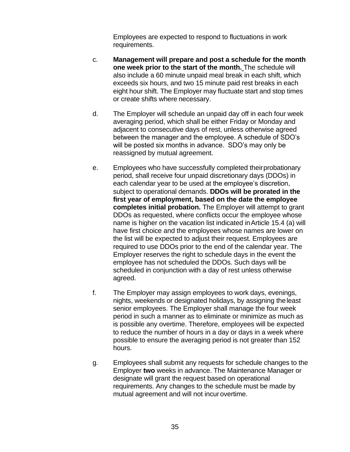Employees are expected to respond to fluctuations in work requirements.

- c. **Management will prepare and post a schedule for the month one week prior to the start of the month.** The schedule will also include a 60 minute unpaid meal break in each shift, which exceeds six hours, and two 15 minute paid rest breaks in each eight hour shift. The Employer may fluctuate start and stop times or create shifts where necessary.
- d. The Employer will schedule an unpaid day off in each four week averaging period, which shall be either Friday or Monday and adjacent to consecutive days of rest, unless otherwise agreed between the manager and the employee. A schedule of SDO's will be posted six months in advance. SDO's may only be reassigned by mutual agreement.
- e. Employees who have successfully completed theirprobationary period, shall receive four unpaid discretionary days (DDOs) in each calendar year to be used at the employee's discretion, subject to operational demands. **DDOs will be prorated in the first year of employment, based on the date the employee completes initial probation.** The Employer will attempt to grant DDOs as requested, where conflicts occur the employee whose name is higher on the vacation list indicated inArticle 15.4 (a) will have first choice and the employees whose names are lower on the list will be expected to adjust their request. Employees are required to use DDOs prior to the end of the calendar year. The Employer reserves the right to schedule days in the event the employee has not scheduled the DDOs. Such days will be scheduled in conjunction with a day of rest unless otherwise agreed.
- f. The Employer may assign employees to work days, evenings, nights, weekends or designated holidays, by assigning theleast senior employees. The Employer shall manage the four week period in such a manner as to eliminate or minimize as much as is possible any overtime. Therefore, employees will be expected to reduce the number of hours in a day or days in a week where possible to ensure the averaging period is not greater than 152 hours.
- g. Employees shall submit any requests for schedule changes to the Employer **two** weeks in advance. The Maintenance Manager or designate will grant the request based on operational requirements. Any changes to the schedule must be made by mutual agreement and will not incur overtime.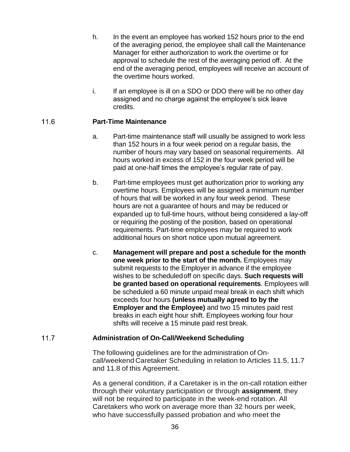- h. In the event an employee has worked 152 hours prior to the end of the averaging period, the employee shall call the Maintenance Manager for either authorization to work the overtime or for approval to schedule the rest of the averaging period off. At the end of the averaging period, employees will receive an account of the overtime hours worked.
- i. If an employee is ill on a SDO or DDO there will be no other day assigned and no charge against the employee's sick leave credits.

## $11.6$ **Part-Time Maintenance**

- a. Part-time maintenance staff will usually be assigned to work less than 152 hours in a four week period on a regular basis, the number of hours may vary based on seasonal requirements. All hours worked in excess of 152 in the four week period will be paid at one-half times the employee's regular rate of pay.
- b. Part-time employees must get authorization prior to working any overtime hours. Employees will be assigned a minimum number of hours that will be worked in any four week period. These hours are not a guarantee of hours and may be reduced or expanded up to full-time hours, without being considered a lay-off or requiring the posting of the position, based on operational requirements. Part-time employees may be required to work additional hours on short notice upon mutual agreement.
- c. **Management will prepare and post a schedule for the month one week prior to the start of the month.** Employees may submit requests to the Employer in advance if the employee wishes to be scheduledoff on specific days. **Such requests will be granted based on operational requirements**. Employees will be scheduled a 60 minute unpaid meal break in each shift which exceeds four hours **(unless mutually agreed to by the Employer and the Employee)** and two 15 minutes paid rest breaks in each eight hour shift. Employees working four hour shifts will receive a 15 minute paid rest break.

## $11.7$ **Administration of On-Call/Weekend Scheduling**

The following guidelines are for the administration of Oncall/weekend Caretaker Scheduling in relation to Articles 11.5, 11.7 and 11.8 of this Agreement.

As a general condition, if a Caretaker is in the on-call rotation either through their voluntary participation or through **assignment**, they will not be required to participate in the week-end rotation. All Caretakers who work on average more than 32 hours per week, who have successfully passed probation and who meet the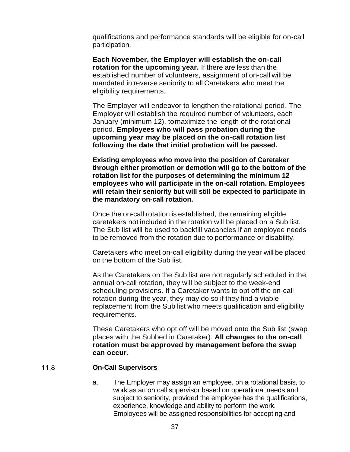qualifications and performance standards will be eligible for on-call participation.

**Each November, the Employer will establish the on-call rotation for the upcoming year.** If there are less than the established number of volunteers, assignment of on-call will be mandated in reverse seniority to all Caretakers who meet the eligibility requirements.

The Employer will endeavor to lengthen the rotational period. The Employer will establish the required number of volunteers, each January (minimum 12), tomaximize the length of the rotational period. **Employees who will pass probation during the upcoming year may be placed on the on-call rotation list following the date that initial probation will be passed.**

**Existing employees who move into the position of Caretaker through either promotion or demotion will go to the bottom of the rotation list for the purposes of determining the minimum 12 employees who will participate in the on-call rotation. Employees will retain their seniority but will still be expected to participate in the mandatory on-call rotation.**

Once the on-call rotation is established, the remaining eligible caretakers not included in the rotation will be placed on a Sub list. The Sub list will be used to backfill vacancies if an employee needs to be removed from the rotation due to performance or disability.

Caretakers who meet on-call eligibility during the year will be placed on the bottom of the Sub list.

As the Caretakers on the Sub list are not regularly scheduled in the annual on-call rotation, they will be subject to the week-end scheduling provisions. If a Caretaker wants to opt off the on-call rotation during the year, they may do so if they find a viable replacement from the Sub list who meets qualification and eligibility requirements.

These Caretakers who opt off will be moved onto the Sub list (swap places with the Subbed in Caretaker). **All changes to the on-call rotation must be approved by management before the swap can occur.** 

### $11.8$ **On-Call Supervisors**

a. The Employer may assign an employee, on a rotational basis, to work as an on call supervisor based on operational needs and subject to seniority, provided the employee has the qualifications, experience, knowledge and ability to perform the work. Employees will be assigned responsibilities for accepting and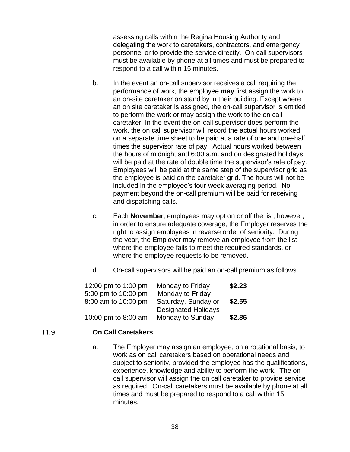assessing calls within the Regina Housing Authority and delegating the work to caretakers, contractors, and emergency personnel or to provide the service directly. On-call supervisors must be available by phone at all times and must be prepared to respond to a call within 15 minutes.

- b. In the event an on-call supervisor receives a call requiring the performance of work, the employee **may** first assign the work to an on-site caretaker on stand by in their building. Except where an on site caretaker is assigned, the on-call supervisor is entitled to perform the work or may assign the work to the on call caretaker. In the event the on-call supervisor does perform the work, the on call supervisor will record the actual hours worked on a separate time sheet to be paid at a rate of one and one-half times the supervisor rate of pay. Actual hours worked between the hours of midnight and 6:00 a.m. and on designated holidays will be paid at the rate of double time the supervisor's rate of pay. Employees will be paid at the same step of the supervisor grid as the employee is paid on the caretaker grid. The hours will not be included in the employee's four-week averaging period. No payment beyond the on-call premium will be paid for receiving and dispatching calls.
- c. Each **November**, employees may opt on or off the list; however, in order to ensure adequate coverage, the Employer reserves the right to assign employees in reverse order of seniority. During the year, the Employer may remove an employee from the list where the employee fails to meet the required standards, or where the employee requests to be removed.
- d. On-call supervisors will be paid an on-call premium as follows

| 12:00 pm to 1:00 pm | Monday to Friday           | \$2.23 |
|---------------------|----------------------------|--------|
| 5:00 pm to 10:00 pm | Monday to Friday           |        |
| 8:00 am to 10:00 pm | Saturday, Sunday or        | \$2.55 |
|                     | <b>Designated Holidays</b> |        |
| 10:00 pm to 8:00 am | Monday to Sunday           | \$2.86 |

### $11.9$ **On Call Caretakers**

a. The Employer may assign an employee, on a rotational basis, to work as on call caretakers based on operational needs and subject to seniority, provided the employee has the qualifications, experience, knowledge and ability to perform the work. The on call supervisor will assign the on call caretaker to provide service as required. On-call caretakers must be available by phone at all times and must be prepared to respond to a call within 15 minutes.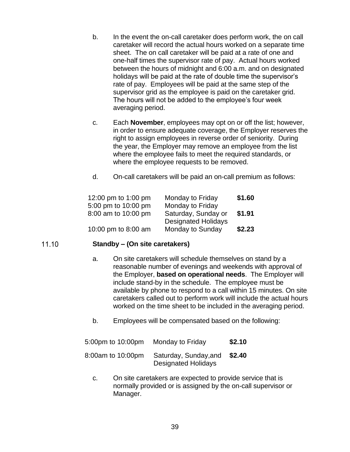- b. In the event the on-call caretaker does perform work, the on call caretaker will record the actual hours worked on a separate time sheet. The on call caretaker will be paid at a rate of one and one-half times the supervisor rate of pay. Actual hours worked between the hours of midnight and 6:00 a.m. and on designated holidays will be paid at the rate of double time the supervisor's rate of pay. Employees will be paid at the same step of the supervisor grid as the employee is paid on the caretaker grid. The hours will not be added to the employee's four week averaging period.
- c. Each **November**, employees may opt on or off the list; however, in order to ensure adequate coverage, the Employer reserves the right to assign employees in reverse order of seniority. During the year, the Employer may remove an employee from the list where the employee fails to meet the required standards, or where the employee requests to be removed.
- d. On-call caretakers will be paid an on-call premium as follows:

| 12:00 pm to 1:00 pm | Monday to Friday           | \$1.60 |
|---------------------|----------------------------|--------|
| 5:00 pm to 10:00 pm | Monday to Friday           |        |
| 8:00 am to 10:00 pm | Saturday, Sunday or        | \$1.91 |
|                     | <b>Designated Holidays</b> |        |
| 10:00 pm to 8:00 am | Monday to Sunday           | \$2.23 |

## 11.10 **Standby – (On site caretakers)**

- a. On site caretakers will schedule themselves on stand by a reasonable number of evenings and weekends with approval of the Employer, **based on operational needs**. The Employer will include stand-by in the schedule. The employee must be available by phone to respond to a call within 15 minutes. On site caretakers called out to perform work will include the actual hours worked on the time sheet to be included in the averaging period.
- b. Employees will be compensated based on the following:

| 5:00pm to 10:00pm | Monday to Friday                                    | \$2.10 |
|-------------------|-----------------------------------------------------|--------|
| 8:00am to 10:00pm | Saturday, Sunday, and<br><b>Designated Holidays</b> | \$2.40 |

c. On site caretakers are expected to provide service that is normally provided or is assigned by the on-call supervisor or Manager.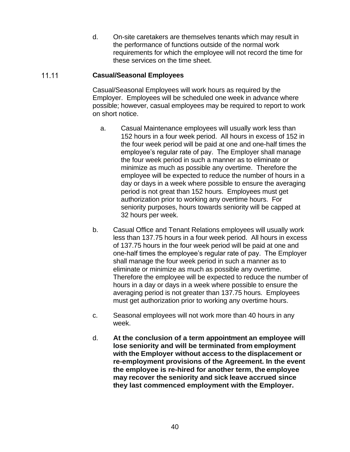d. On-site caretakers are themselves tenants which may result in the performance of functions outside of the normal work requirements for which the employee will not record the time for these services on the time sheet.

### $11.11$ **Casual/Seasonal Employees**

Casual/Seasonal Employees will work hours as required by the Employer. Employees will be scheduled one week in advance where possible; however, casual employees may be required to report to work on short notice.

- a. Casual Maintenance employees will usually work less than 152 hours in a four week period. All hours in excess of 152 in the four week period will be paid at one and one-half times the employee's regular rate of pay. The Employer shall manage the four week period in such a manner as to eliminate or minimize as much as possible any overtime. Therefore the employee will be expected to reduce the number of hours in a day or days in a week where possible to ensure the averaging period is not great than 152 hours. Employees must get authorization prior to working any overtime hours. For seniority purposes, hours towards seniority will be capped at 32 hours per week.
- b. Casual Office and Tenant Relations employees will usually work less than 137.75 hours in a four week period. All hours in excess of 137.75 hours in the four week period will be paid at one and one-half times the employee's regular rate of pay. The Employer shall manage the four week period in such a manner as to eliminate or minimize as much as possible any overtime. Therefore the employee will be expected to reduce the number of hours in a day or days in a week where possible to ensure the averaging period is not greater than 137.75 hours. Employees must get authorization prior to working any overtime hours.
- c. Seasonal employees will not work more than 40 hours in any week.
- d. **At the conclusion of a term appointment an employee will lose seniority and will be terminated from employment with the Employer without access to the displacement or re-employment provisions of the Agreement. In the event the employee is re-hired for another term, the employee may recover the seniority and sick leave accrued since they last commenced employment with the Employer.**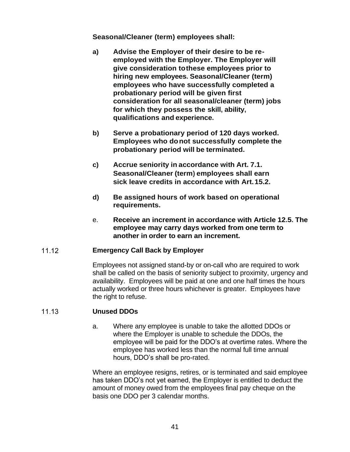**Seasonal/Cleaner (term) employees shall:**

- **a) Advise the Employer of their desire to be reemployed with the Employer. The Employer will give consideration tothese employees prior to hiring new employees. Seasonal/Cleaner (term) employees who have successfully completed a probationary period will be given first consideration for all seasonal/cleaner (term) jobs for which they possess the skill, ability, qualifications and experience.**
- **b) Serve a probationary period of 120 days worked. Employees who donot successfully complete the probationary period will be terminated.**
- **c) Accrue seniority in accordance with Art. 7.1. Seasonal/Cleaner (term) employees shall earn sick leave credits in accordance with Art.15.2.**
- **d) Be assigned hours of work based on operational requirements.**
- e. **Receive an increment in accordance with Article 12.5. The employee may carry days worked from one term to another in order to earn an increment.**

## $1112$ **Emergency Call Back by Employer**

Employees not assigned stand-by or on-call who are required to work shall be called on the basis of seniority subject to proximity, urgency and availability. Employees will be paid at one and one half times the hours actually worked or three hours whichever is greater. Employees have the right to refuse.

### 11.13 **Unused DDOs**

a. Where any employee is unable to take the allotted DDOs or where the Employer is unable to schedule the DDOs, the employee will be paid for the DDO's at overtime rates. Where the employee has worked less than the normal full time annual hours, DDO's shall be pro-rated.

Where an employee resigns, retires, or is terminated and said employee has taken DDO's not yet earned, the Employer is entitled to deduct the amount of money owed from the employees final pay cheque on the basis one DDO per 3 calendar months.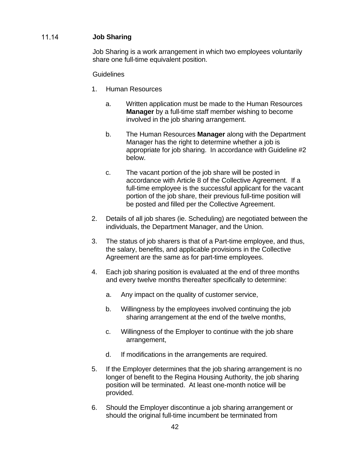# 11.14 **Job Sharing**

Job Sharing is a work arrangement in which two employees voluntarily share one full-time equivalent position.

**Guidelines** 

- 1. Human Resources
	- a. Written application must be made to the Human Resources **Manager** by a full-time staff member wishing to become involved in the job sharing arrangement.
	- b. The Human Resources **Manager** along with the Department Manager has the right to determine whether a job is appropriate for job sharing. In accordance with Guideline #2 below.
	- c. The vacant portion of the job share will be posted in accordance with Article 8 of the Collective Agreement. If a full-time employee is the successful applicant for the vacant portion of the job share, their previous full-time position will be posted and filled per the Collective Agreement.
- 2. Details of all job shares (ie. Scheduling) are negotiated between the individuals, the Department Manager, and the Union.
- 3. The status of job sharers is that of a Part-time employee, and thus, the salary, benefits, and applicable provisions in the Collective Agreement are the same as for part-time employees.
- 4. Each job sharing position is evaluated at the end of three months and every twelve months thereafter specifically to determine:
	- a. Any impact on the quality of customer service,
	- b. Willingness by the employees involved continuing the job sharing arrangement at the end of the twelve months,
	- c. Willingness of the Employer to continue with the job share arrangement,
	- d. If modifications in the arrangements are required.
- 5. If the Employer determines that the job sharing arrangement is no longer of benefit to the Regina Housing Authority, the job sharing position will be terminated. At least one-month notice will be provided.
- 6. Should the Employer discontinue a job sharing arrangement or should the original full-time incumbent be terminated from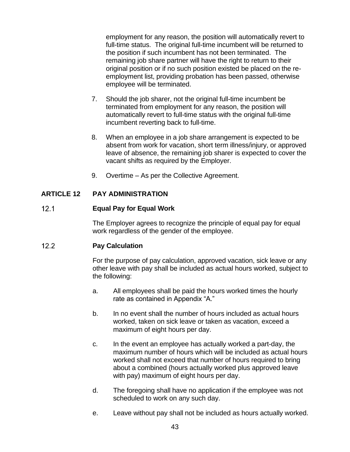employment for any reason, the position will automatically revert to full-time status. The original full-time incumbent will be returned to the position if such incumbent has not been terminated. The remaining job share partner will have the right to return to their original position or if no such position existed be placed on the reemployment list, providing probation has been passed, otherwise employee will be terminated.

- 7. Should the job sharer, not the original full-time incumbent be terminated from employment for any reason, the position will automatically revert to full-time status with the original full-time incumbent reverting back to full-time.
- 8. When an employee in a job share arrangement is expected to be absent from work for vacation, short term illness/injury, or approved leave of absence, the remaining job sharer is expected to cover the vacant shifts as required by the Employer.
- 9. Overtime As per the Collective Agreement.

# **ARTICLE 12 PAY ADMINISTRATION**

### $12.1$ **Equal Pay for Equal Work**

The Employer agrees to recognize the principle of equal pay for equal work regardless of the gender of the employee.

# $12.2$ **Pay Calculation**

For the purpose of pay calculation, approved vacation, sick leave or any other leave with pay shall be included as actual hours worked, subject to the following:

- a. All employees shall be paid the hours worked times the hourly rate as contained in Appendix "A."
- b. In no event shall the number of hours included as actual hours worked, taken on sick leave or taken as vacation, exceed a maximum of eight hours per day.
- c. In the event an employee has actually worked a part-day, the maximum number of hours which will be included as actual hours worked shall not exceed that number of hours required to bring about a combined (hours actually worked plus approved leave with pay) maximum of eight hours per day.
- d. The foregoing shall have no application if the employee was not scheduled to work on any such day.
- e. Leave without pay shall not be included as hours actually worked.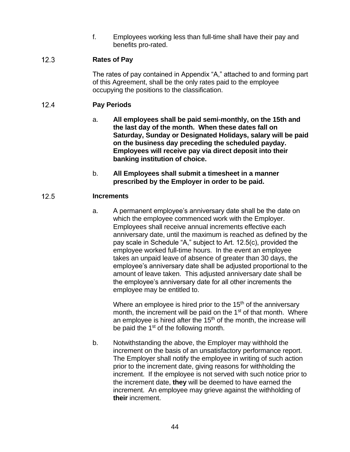f. Employees working less than full-time shall have their pay and benefits pro-rated.

## $12.3$ **Rates of Pay**

The rates of pay contained in Appendix "A," attached to and forming part of this Agreement, shall be the only rates paid to the employee occupying the positions to the classification.

# $12.4$ **Pay Periods**

- a. **All employees shall be paid semi-monthly, on the 15th and the last day of the month. When these dates fall on Saturday, Sunday or Designated Holidays, salary will be paid on the business day preceding the scheduled payday. Employees will receive pay via direct deposit into their banking institution of choice.**
- b. **All Employees shall submit a timesheet in a manner prescribed by the Employer in order to be paid.**

# $12.5$ **Increments**

a. A permanent employee's anniversary date shall be the date on which the employee commenced work with the Employer. Employees shall receive annual increments effective each anniversary date, until the maximum is reached as defined by the pay scale in Schedule "A," subject to Art. 12.5(c), provided the employee worked full-time hours. In the event an employee takes an unpaid leave of absence of greater than 30 days, the employee's anniversary date shall be adjusted proportional to the amount of leave taken. This adjusted anniversary date shall be the employee's anniversary date for all other increments the employee may be entitled to.

Where an employee is hired prior to the  $15<sup>th</sup>$  of the anniversary month, the increment will be paid on the 1<sup>st</sup> of that month. Where an employee is hired after the  $15<sup>th</sup>$  of the month, the increase will be paid the 1<sup>st</sup> of the following month.

b. Notwithstanding the above, the Employer may withhold the increment on the basis of an unsatisfactory performance report. The Employer shall notify the employee in writing of such action prior to the increment date, giving reasons for withholding the increment. If the employee is not served with such notice prior to the increment date, **they** will be deemed to have earned the increment. An employee may grieve against the withholding of **their** increment.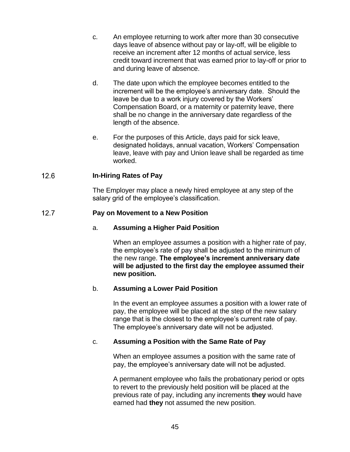- c. An employee returning to work after more than 30 consecutive days leave of absence without pay or lay-off, will be eligible to receive an increment after 12 months of actual service, less credit toward increment that was earned prior to lay-off or prior to and during leave of absence.
- d. The date upon which the employee becomes entitled to the increment will be the employee's anniversary date. Should the leave be due to a work injury covered by the Workers' Compensation Board, or a maternity or paternity leave, there shall be no change in the anniversary date regardless of the length of the absence.
- e. For the purposes of this Article, days paid for sick leave, designated holidays, annual vacation, Workers' Compensation leave, leave with pay and Union leave shall be regarded as time worked.

## $12.6$ **In-Hiring Rates of Pay**

The Employer may place a newly hired employee at any step of the salary grid of the employee's classification.

### $12.7$ **Pay on Movement to a New Position**

# a. **Assuming a Higher Paid Position**

When an employee assumes a position with a higher rate of pay. the employee's rate of pay shall be adjusted to the minimum of the new range. **The employee's increment anniversary date will be adjusted to the first day the employee assumed their new position.**

# b. **Assuming a Lower Paid Position**

In the event an employee assumes a position with a lower rate of pay, the employee will be placed at the step of the new salary range that is the closest to the employee's current rate of pay. The employee's anniversary date will not be adjusted.

# c. **Assuming a Position with the Same Rate of Pay**

When an employee assumes a position with the same rate of pay, the employee's anniversary date will not be adjusted.

A permanent employee who fails the probationary period or opts to revert to the previously held position will be placed at the previous rate of pay, including any increments **they** would have earned had **they** not assumed the new position.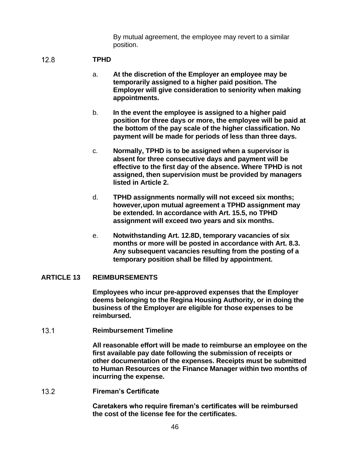By mutual agreement, the employee may revert to a similar position.

#### $12.8$ **TPHD**

- a. **At the discretion of the Employer an employee may be temporarily assigned to a higher paid position. The Employer will give consideration to seniority when making appointments.**
- b. **In the event the employee is assigned to a higher paid position for three days or more, the employee will be paid at the bottom of the pay scale of the higher classification. No payment will be made for periods of less than three days.**
- c. **Normally, TPHD is to be assigned when a supervisor is absent for three consecutive days and payment will be effective to the first day of the absence. Where TPHD is not assigned, then supervision must be provided by managers listed in Article 2.**
- d. **TPHD assignments normally will not exceed six months; however,upon mutual agreement a TPHD assignment may be extended. In accordance with Art. 15.5, no TPHD assignment will exceed two years and six months.**
- e. **Notwithstanding Art. 12.8D, temporary vacancies of six months or more will be posted in accordance with Art. 8.3. Any subsequent vacancies resulting from the posting of a temporary position shall be filled by appointment.**

# **ARTICLE 13 REIMBURSEMENTS**

**Employees who incur pre-approved expenses that the Employer deems belonging to the Regina Housing Authority, or in doing the business of the Employer are eligible for those expenses to be reimbursed.**

 $13.1$ **Reimbursement Timeline**

> **All reasonable effort will be made to reimburse an employee on the first available pay date following the submission of receipts or other documentation of the expenses. Receipts must be submitted to Human Resources or the Finance Manager within two months of incurring the expense.**

 $13.2$ **Fireman's Certificate**

> **Caretakers who require fireman's certificates will be reimbursed the cost of the license fee for the certificates.**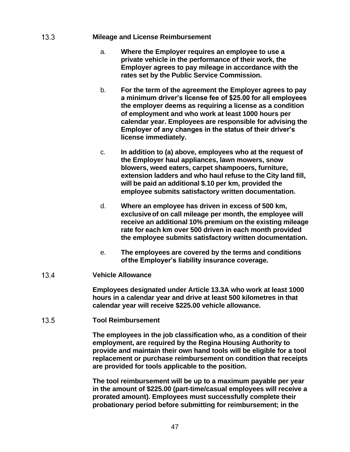### $13.3$ **Mileage and License Reimbursement**

- a. **Where the Employer requires an employee to use a private vehicle in the performance of their work, the Employer agrees to pay mileage in accordance with the rates set by the Public Service Commission.**
- b. **For the term of the agreement the Employer agrees to pay a minimum driver's license fee of \$25.00 for all employees the employer deems as requiring a license as a condition of employment and who work at least 1000 hours per calendar year. Employees are responsible for advising the Employer of any changes in the status of their driver's license immediately.**
- c. **In addition to (a) above, employees who at the request of the Employer haul appliances, lawn mowers, snow blowers, weed eaters, carpet shampooers, furniture, extension ladders and who haul refuse to the City land fill, will be paid an additional \$.10 per km, provided the employee submits satisfactory written documentation.**
- d. **Where an employee has driven in excess of 500 km, exclusiveof on call mileage per month, the employee will receive an additional 10% premium on the existing mileage rate for each km over 500 driven in each month provided the employee submits satisfactory written documentation.**
- e. **The employees are covered by the terms and conditions ofthe Employer's liability insurance coverage.**

### $13.4$ **Vehicle Allowance**

**Employees designated under Article 13.3A who work at least 1000 hours in a calendar year and drive at least 500 kilometres in that calendar year will receive \$225.00 vehicle allowance.**

### $13.5$ **Tool Reimbursement**

**The employees in the job classification who, as a condition of their employment, are required by the Regina Housing Authority to provide and maintain their own hand tools will be eligible for a tool replacement or purchase reimbursement on condition that receipts are provided for tools applicable to the position.**

**The tool reimbursement will be up to a maximum payable per year in the amount of \$225.00 (part-time/casual employees will receive a prorated amount). Employees must successfully complete their probationary period before submitting for reimbursement; in the**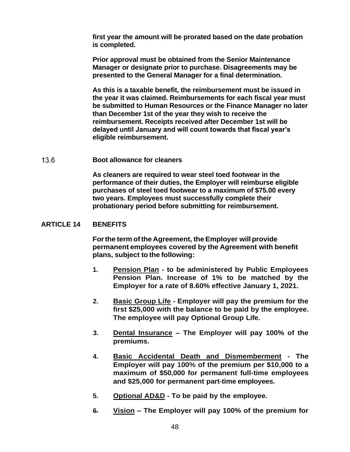**first year the amount will be prorated based on the date probation is completed.**

**Prior approval must be obtained from the Senior Maintenance Manager or designate prior to purchase. Disagreements may be presented to the General Manager for a final determination.**

**As this is a taxable benefit, the reimbursement must be issued in the year it was claimed. Reimbursements for each fiscal year must be submitted to Human Resources or the Finance Manager no later than December 1st of the year they wish to receive the reimbursement. Receipts received after December 1st will be delayed until January and will count towards that fiscal year's eligible reimbursement.**

#### 13.6 **Boot allowance for cleaners**

**As cleaners are required to wear steel toed footwear in the performance of their duties, the Employer will reimburse eligible purchases of steel toed footwear to a maximum of \$75.00 every two years. Employees must successfully complete their probationary period before submitting for reimbursement.**

# **ARTICLE 14 BENEFITS**

**Forthe term ofthe Agreement, theEmployer will provide permanent employees covered by the Agreement with benefit plans, subject to the following:**

- **1. Pension Plan - to be administered by Public Employees Pension Plan. Increase of 1% to be matched by the Employer for a rate of 8.60% effective January 1, 2021.**
- **2. Basic Group Life - Employer will pay the premium for the first \$25,000 with the balance to be paid by the employee. The employee will pay Optional Group Life.**
- **3. Dental Insurance – The Employer will pay 100% of the premiums.**
- **4. Basic Accidental Death and Dismemberment - The Employer will pay 100% of the premium per \$10,000 to a maximum of \$50,000 for permanent full-time employees and \$25,000 for permanent part-time employees.**
- **5. Optional AD&D - To be paid by the employee.**
- **6. Vision – The Employer will pay 100% of the premium for**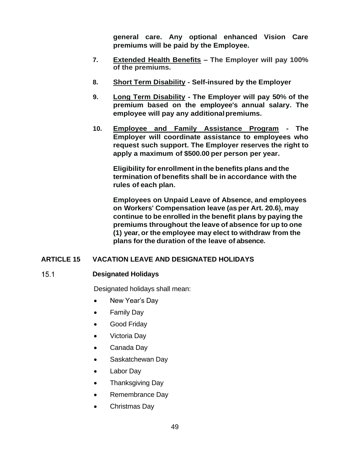**general care. Any optional enhanced Vision Care premiums will be paid by the Employee.**

- **7. Extended Health Benefits – The Employer will pay 100% of the premiums.**
- **8. Short Term Disability - Self-insured by the Employer**
- **9. Long Term Disability - The Employer will pay 50% of the premium based on the employee's annual salary. The employee will pay any additionalpremiums.**
- **10. Employee and Family Assistance Program - The Employer will coordinate assistance to employees who request such support. The Employer reserves the right to apply a maximum of \$500.00 per person per year.**

**Eligibility for enrollment in the benefits plans and the termination of benefits shall be in accordance with the rules of each plan.**

**Employees on Unpaid Leave of Absence, and employees on Workers' Compensation leave (as per Art. 20.6), may continue to be enrolled in the benefit plans by paying the premiums throughout the leave of absence for up to one (1) year, or the employee may elect to withdraw from the plans for the duration of the leave of absence.**

# **ARTICLE 15 VACATION LEAVE AND DESIGNATED HOLIDAYS**

## $15.1$ **Designated Holidays**

Designated holidays shall mean:

- New Year's Day
- Family Day
- Good Friday
- Victoria Day
- Canada Day
- Saskatchewan Day
- Labor Day
- Thanksgiving Day
- Remembrance Day
- Christmas Day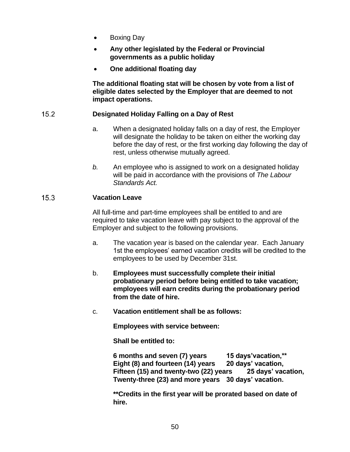- Boxing Day
- **Any other legislated by the Federal or Provincial governments as a public holiday**
- **One additional floating day**

**The additional floating stat will be chosen by vote from a list of eligible dates selected by the Employer that are deemed to not impact operations.**

### $15.2$ **Designated Holiday Falling on a Day of Rest**

- a. When a designated holiday falls on a day of rest, the Employer will designate the holiday to be taken on either the working day before the day of rest, or the first working day following the day of rest, unless otherwise mutually agreed.
- *b.* An employee who is assigned to work on a designated holiday will be paid in accordance with the provisions of *The Labour Standards Act.*

### $15.3$ **Vacation Leave**

All full-time and part-time employees shall be entitled to and are required to take vacation leave with pay subject to the approval of the Employer and subject to the following provisions.

- a. The vacation year is based on the calendar year. Each January 1st the employees' earned vacation credits will be credited to the employees to be used by December 31st.
- b. **Employees must successfully complete their initial probationary period before being entitled to take vacation; employees will earn credits during the probationary period from the date of hire.**
- c. **Vacation entitlement shall be as follows:**

**Employees with service between:**

**Shall be entitled to:**

**6 months and seven (7) years 15 days'vacation,\*\* Eight (8) and fourteen (14) years 20 days' vacation, Fifteen (15) and twenty-two (22) years 25 days' vacation, Twenty-three (23) and more years 30 days' vacation.**

**\*\*Credits in the first year will be prorated based on date of hire.**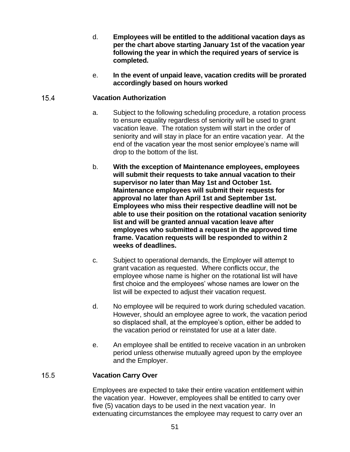- d. **Employees will be entitled to the additional vacation days as per the chart above starting January 1st of the vacation year following the year in which the required years of service is completed.**
- e. **In the event of unpaid leave, vacation credits will be prorated accordingly based on hours worked**

## $15.4$ **Vacation Authorization**

- a. Subject to the following scheduling procedure, a rotation process to ensure equality regardless of seniority will be used to grant vacation leave. The rotation system will start in the order of seniority and will stay in place for an entire vacation year. At the end of the vacation year the most senior employee's name will drop to the bottom of the list.
- b. **With the exception of Maintenance employees, employees will submit their requests to take annual vacation to their supervisor no later than May 1st and October 1st. Maintenance employees will submit their requests for approval no later than April 1st and September 1st. Employees who miss their respective deadline will not be able to use their position on the rotational vacation seniority list and will be granted annual vacation leave after employees who submitted a request in the approved time frame. Vacation requests will be responded to within 2 weeks of deadlines.**
- c. Subject to operational demands, the Employer will attempt to grant vacation as requested. Where conflicts occur, the employee whose name is higher on the rotational list will have first choice and the employees' whose names are lower on the list will be expected to adjust their vacation request.
- d. No employee will be required to work during scheduled vacation. However, should an employee agree to work, the vacation period so displaced shall, at the employee's option, either be added to the vacation period or reinstated for use at a later date.
- e. An employee shall be entitled to receive vacation in an unbroken period unless otherwise mutually agreed upon by the employee and the Employer.

### $15.5$ **Vacation Carry Over**

Employees are expected to take their entire vacation entitlement within the vacation year. However, employees shall be entitled to carry over five (5) vacation days to be used in the next vacation year. In extenuating circumstances the employee may request to carry over an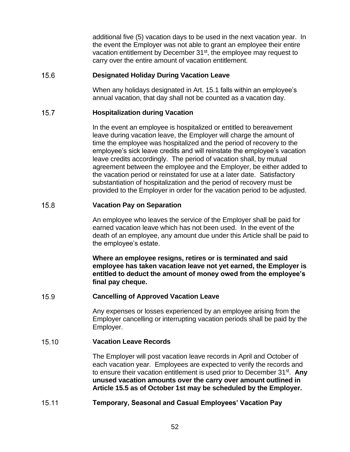additional five (5) vacation days to be used in the next vacation year. In the event the Employer was not able to grant an employee their entire vacation entitlement by December 31<sup>st</sup>, the employee may request to carry over the entire amount of vacation entitlement.

### $15.6$ **Designated Holiday During Vacation Leave**

When any holidays designated in Art. 15.1 falls within an employee's annual vacation, that day shall not be counted as a vacation day.

### $15.7$ **Hospitalization during Vacation**

In the event an employee is hospitalized or entitled to bereavement leave during vacation leave, the Employer will charge the amount of time the employee was hospitalized and the period of recovery to the employee's sick leave credits and will reinstate the employee's vacation leave credits accordingly. The period of vacation shall, by mutual agreement between the employee and the Employer, be either added to the vacation period or reinstated for use at a later date. Satisfactory substantiation of hospitalization and the period of recovery must be provided to the Employer in order for the vacation period to be adjusted.

### $15.8$ **Vacation Pay on Separation**

An employee who leaves the service of the Employer shall be paid for earned vacation leave which has not been used. In the event of the death of an employee, any amount due under this Article shall be paid to the employee's estate.

**Where an employee resigns, retires or is terminated and said employee has taken vacation leave not yet earned, the Employer is entitled to deduct the amount of money owed from the employee's final pay cheque.**

### $15.9$ **Cancelling of Approved Vacation Leave**

Any expenses or losses experienced by an employee arising from the Employer cancelling or interrupting vacation periods shall be paid by the Employer.

### 15.10 **Vacation Leave Records**

The Employer will post vacation leave records in April and October of each vacation year. Employees are expected to verify the records and to ensure their vacation entitlement is used prior to December 31<sup>st</sup>. Any **unused vacation amounts over the carry over amount outlined in Article 15.5 as of October 1st may be scheduled by the Employer.**

### $15.11$ **Temporary, Seasonal and Casual Employees' Vacation Pay**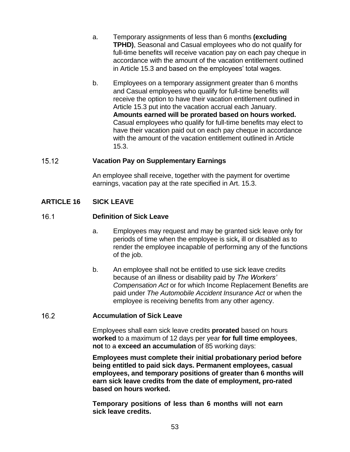- a. Temporary assignments of less than 6 months **(excluding TPHD)**, Seasonal and Casual employees who do not qualify for full-time benefits will receive vacation pay on each pay cheque in accordance with the amount of the vacation entitlement outlined in Article 15.3 and based on the employees' total wages.
- b. Employees on a temporary assignment greater than 6 months and Casual employees who qualify for full-time benefits will receive the option to have their vacation entitlement outlined in Article 15.3 put into the vacation accrual each January. **Amounts earned will be prorated based on hours worked.** Casual employees who qualify for full-time benefits may elect to have their vacation paid out on each pay cheque in accordance with the amount of the vacation entitlement outlined in Article 15.3.

### $15.12$ **Vacation Pay on Supplementary Earnings**

An employee shall receive, together with the payment for overtime earnings, vacation pay at the rate specified in Art. 15.3.

# **ARTICLE 16 SICK LEAVE**

### $16.1$ **Definition of Sick Leave**

- a. Employees may request and may be granted sick leave only for periods of time when the employee is sick**,** ill or disabled as to render the employee incapable of performing any of the functions of the job.
- b. An employee shall not be entitled to use sick leave credits because of an illness or disability paid by *The Workers' Compensation Act* or for which Income Replacement Benefits are paid under *The Automobile Accident Insurance Act* or when the employee is receiving benefits from any other agency.

### $16.2$ **Accumulation of Sick Leave**

Employees shall earn sick leave credits **prorated** based on hours **worked** to a maximum of 12 days per year **for full time employees**, **not** to a **exceed an accumulation** of 85 working days:

**Employees must complete their initial probationary period before being entitled to paid sick days. Permanent employees, casual employees, and temporary positions of greater than 6 months will earn sick leave credits from the date of employment, pro-rated based on hours worked.**

**Temporary positions of less than 6 months will not earn sick leave credits.**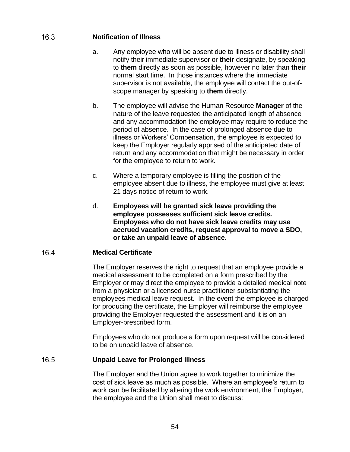# $16.3$ **Notification of Illness**

- a. Any employee who will be absent due to illness or disability shall notify their immediate supervisor or **their** designate, by speaking to **them** directly as soon as possible, however no later than **their** normal start time. In those instances where the immediate supervisor is not available, the employee will contact the out-ofscope manager by speaking to **them** directly.
- b. The employee will advise the Human Resource **Manager** of the nature of the leave requested the anticipated length of absence and any accommodation the employee may require to reduce the period of absence. In the case of prolonged absence due to illness or Workers' Compensation, the employee is expected to keep the Employer regularly apprised of the anticipated date of return and any accommodation that might be necessary in order for the employee to return to work.
- c. Where a temporary employee is filling the position of the employee absent due to illness, the employee must give at least 21 days notice of return to work.
- d. **Employees will be granted sick leave providing the employee possesses sufficient sick leave credits. Employees who do not have sick leave credits may use accrued vacation credits, request approval to move a SDO, or take an unpaid leave of absence.**

### 16.4 **Medical Certificate**

The Employer reserves the right to request that an employee provide a medical assessment to be completed on a form prescribed by the Employer or may direct the employee to provide a detailed medical note from a physician or a licensed nurse practitioner substantiating the employees medical leave request. In the event the employee is charged for producing the certificate, the Employer will reimburse the employee providing the Employer requested the assessment and it is on an Employer-prescribed form.

Employees who do not produce a form upon request will be considered to be on unpaid leave of absence.

### 16.5 **Unpaid Leave for Prolonged Illness**

The Employer and the Union agree to work together to minimize the cost of sick leave as much as possible. Where an employee's return to work can be facilitated by altering the work environment, the Employer, the employee and the Union shall meet to discuss: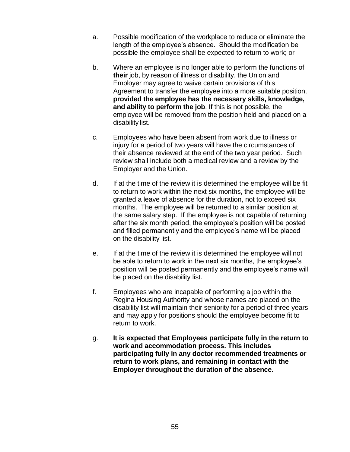- a. Possible modification of the workplace to reduce or eliminate the length of the employee's absence. Should the modification be possible the employee shall be expected to return to work; or
- b. Where an employee is no longer able to perform the functions of **their** job, by reason of illness or disability, the Union and Employer may agree to waive certain provisions of this Agreement to transfer the employee into a more suitable position, **provided the employee has the necessary skills, knowledge, and ability to perform the job**. If this is not possible, the employee will be removed from the position held and placed on a disability list.
- c. Employees who have been absent from work due to illness or injury for a period of two years will have the circumstances of their absence reviewed at the end of the two year period. Such review shall include both a medical review and a review by the Employer and the Union.
- d. If at the time of the review it is determined the employee will be fit to return to work within the next six months, the employee will be granted a leave of absence for the duration, not to exceed six months. The employee will be returned to a similar position at the same salary step. If the employee is not capable of returning after the six month period, the employee's position will be posted and filled permanently and the employee's name will be placed on the disability list.
- e. If at the time of the review it is determined the employee will not be able to return to work in the next six months, the employee's position will be posted permanently and the employee's name will be placed on the disability list.
- f. Employees who are incapable of performing a job within the Regina Housing Authority and whose names are placed on the disability list will maintain their seniority for a period of three years and may apply for positions should the employee become fit to return to work.
- g. **It is expected that Employees participate fully in the return to work and accommodation process. This includes participating fully in any doctor recommended treatments or return to work plans, and remaining in contact with the Employer throughout the duration of the absence.**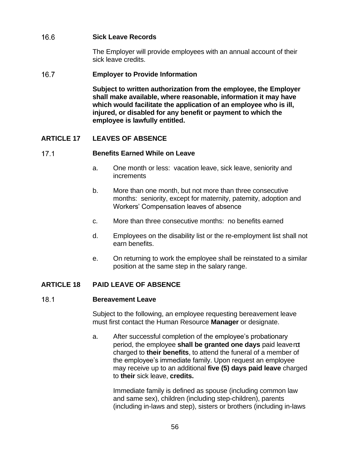# 16.6 **Sick Leave Records**

The Employer will provide employees with an annual account of their sick leave credits.

### $16.7$ **Employer to Provide Information**

**Subject to written authorization from the employee, the Employer shall make available, where reasonable, information it may have which would facilitate the application of an employee who is ill, injured, or disabled for any benefit or payment to which the employee is lawfully entitled.**

# **ARTICLE 17 LEAVES OF ABSENCE**

### $17.1$ **Benefits Earned While on Leave**

- a. One month or less: vacation leave, sick leave, seniority and increments
- b. More than one month, but not more than three consecutive months: seniority, except for maternity, paternity, adoption and Workers' Compensation leaves of absence
- c. More than three consecutive months: no benefits earned
- d. Employees on the disability list or the re-employment list shall not earn benefits.
- e. On returning to work the employee shall be reinstated to a similar position at the same step in the salary range.

# **ARTICLE 18 PAID LEAVE OF ABSENCE**

### $18.1$ **Bereavement Leave**

Subject to the following, an employee requesting bereavement leave must first contact the Human Resource **Manager** or designate.

a. After successful completion of the employee's probationary period, the employee shall be granted one days paid leavend charged to **their benefits**, to attend the funeral of a member of the employee's immediate family. Upon request an employee may receive up to an additional **five (5) days paid leave** charged to **their** sick leave, **credits.**

Immediate family is defined as spouse (including common law and same sex), children (including step-children), parents (including in-laws and step), sisters or brothers (including in-laws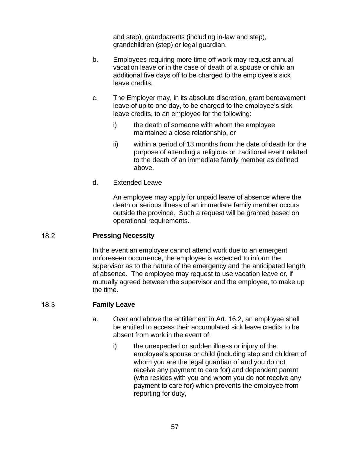and step), grandparents (including in-law and step), grandchildren (step) or legal guardian.

- b. Employees requiring more time off work may request annual vacation leave or in the case of death of a spouse or child an additional five days off to be charged to the employee's sick leave credits.
- c. The Employer may, in its absolute discretion, grant bereavement leave of up to one day, to be charged to the employee's sick leave credits, to an employee for the following:
	- i) the death of someone with whom the employee maintained a close relationship, or
	- ii) within a period of 13 months from the date of death for the purpose of attending a religious or traditional event related to the death of an immediate family member as defined above.
- d. Extended Leave

An employee may apply for unpaid leave of absence where the death or serious illness of an immediate family member occurs outside the province. Such a request will be granted based on operational requirements.

## $18.2$ **Pressing Necessity**

In the event an employee cannot attend work due to an emergent unforeseen occurrence, the employee is expected to inform the supervisor as to the nature of the emergency and the anticipated length of absence. The employee may request to use vacation leave or, if mutually agreed between the supervisor and the employee, to make up the time.

## 18.3 **Family Leave**

- a. Over and above the entitlement in Art. 16.2, an employee shall be entitled to access their accumulated sick leave credits to be absent from work in the event of:
	- i) the unexpected or sudden illness or injury of the employee's spouse or child (including step and children of whom you are the legal guardian of and you do not receive any payment to care for) and dependent parent (who resides with you and whom you do not receive any payment to care for) which prevents the employee from reporting for duty,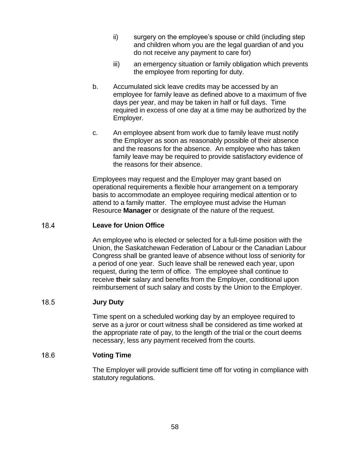- ii) surgery on the employee's spouse or child (including step and children whom you are the legal guardian of and you do not receive any payment to care for)
- iii) an emergency situation or family obligation which prevents the employee from reporting for duty.
- b. Accumulated sick leave credits may be accessed by an employee for family leave as defined above to a maximum of five days per year, and may be taken in half or full days. Time required in excess of one day at a time may be authorized by the Employer.
- c. An employee absent from work due to family leave must notify the Employer as soon as reasonably possible of their absence and the reasons for the absence. An employee who has taken family leave may be required to provide satisfactory evidence of the reasons for their absence.

Employees may request and the Employer may grant based on operational requirements a flexible hour arrangement on a temporary basis to accommodate an employee requiring medical attention or to attend to a family matter. The employee must advise the Human Resource **Manager** or designate of the nature of the request.

## 18.4 **Leave for Union Office**

An employee who is elected or selected for a full-time position with the Union, the Saskatchewan Federation of Labour or the Canadian Labour Congress shall be granted leave of absence without loss of seniority for a period of one year. Such leave shall be renewed each year, upon request, during the term of office. The employee shall continue to receive **their** salary and benefits from the Employer, conditional upon reimbursement of such salary and costs by the Union to the Employer.

## 18.5 **Jury Duty**

Time spent on a scheduled working day by an employee required to serve as a juror or court witness shall be considered as time worked at the appropriate rate of pay, to the length of the trial or the court deems necessary, less any payment received from the courts.

## 18.6 **Voting Time**

The Employer will provide sufficient time off for voting in compliance with statutory regulations.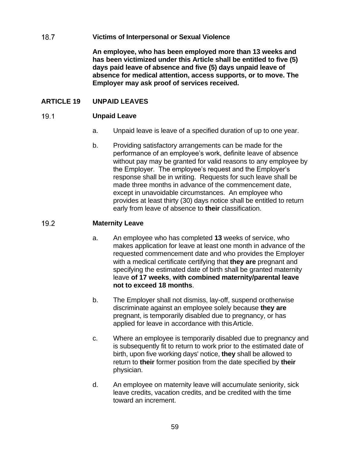## $18.7$ **Victims of Interpersonal or Sexual Violence**

**An employee, who has been employed more than 13 weeks and has been victimized under this Article shall be entitled to five (5) days paid leave of absence and five (5) days unpaid leave of absence for medical attention, access supports, or to move. The Employer may ask proof of services received.**

# **ARTICLE 19 UNPAID LEAVES**

### $19.1$ **Unpaid Leave**

- a. Unpaid leave is leave of a specified duration of up to one year.
- b. Providing satisfactory arrangements can be made for the performance of an employee's work, definite leave of absence without pay may be granted for valid reasons to any employee by the Employer. The employee's request and the Employer's response shall be in writing. Requests for such leave shall be made three months in advance of the commencement date, except in unavoidable circumstances. An employee who provides at least thirty (30) days notice shall be entitled to return early from leave of absence to **their** classification.

#### $19.2$ **Maternity Leave**

- a. An employee who has completed **13** weeks of service, who makes application for leave at least one month in advance of the requested commencement date and who provides the Employer with a medical certificate certifying that **they are** pregnant and specifying the estimated date of birth shall be granted maternity leave **of 17 weeks**, **with combined maternity/parental leave not to exceed 18 months**.
- b. The Employer shall not dismiss, lay-off, suspend orotherwise discriminate against an employee solely because **they are**  pregnant, is temporarily disabled due to pregnancy, or has applied for leave in accordance with thisArticle.
- c. Where an employee is temporarily disabled due to pregnancy and is subsequently fit to return to work prior to the estimated date of birth, upon five working days' notice, **they** shall be allowed to return to **their** former position from the date specified by **their** physician.
- d. An employee on maternity leave will accumulate seniority, sick leave credits, vacation credits, and be credited with the time toward an increment.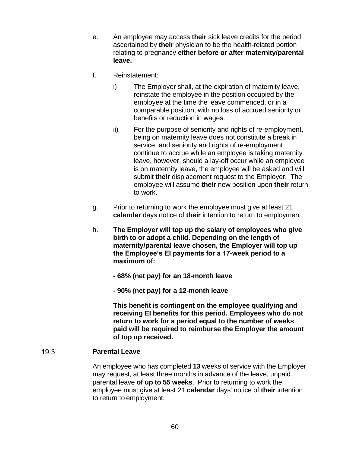- e. An employee may access **their** sick leave credits for the period ascertained by **their** physician to be the health-related portion relating to pregnancy **either before or after maternity/parental leave.**
- f. Reinstatement:
	- i) The Employer shall, at the expiration of maternity leave, reinstate the employee in the position occupied by the employee at the time the leave commenced, or in a comparable position, with no loss of accrued seniority or benefits or reduction in wages.
	- ii) For the purpose of seniority and rights of re-employment, being on maternity leave does not constitute a break in service, and seniority and rights of re-employment continue to accrue while an employee is taking maternity leave, however, should a lay-off occur while an employee is on maternity leave, the employee will be asked and will submit **their** displacement request to the Employer. The employee will assume **their** new position upon **their** return to work.
- g. Prior to returning to work the employee must give at least 21 **calendar** days notice of **their** intention to return to employment.
- h. **The Employer will top up the salary of employees who give birth to or adopt a child. Depending on the length of maternity/parental leave chosen, the Employer will top up the Employee's EI payments for a 17-week period to a maximum of:**
	- **- 68% (net pay) for an 18-month leave**
	- **- 90% (net pay) for a 12-month leave**

**This benefit is contingent on the employee qualifying and receiving EI benefits for this period. Employees who do not return to work for a period equal to the number of weeks paid will be required to reimburse the Employer the amount of top up received.**

### 19.3 **Parental Leave**

An employee who has completed **13** weeks of service with the Employer may request, at least three months in advance of the leave, unpaid parental leave **of up to 55 weeks**. Prior to returning to work the employee must give at least 21 **calendar** days' notice of **their** intention to return to employment.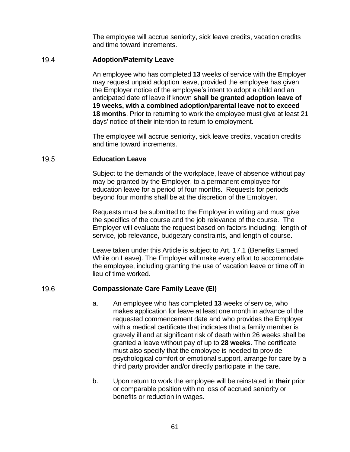The employee will accrue seniority, sick leave credits, vacation credits and time toward increments.

### $19.4$ **Adoption/Paternity Leave**

An employee who has completed **13** weeks of service with the **E**mployer may request unpaid adoption leave, provided the employee has given the **E**mployer notice of the employee's intent to adopt a child and an anticipated date of leave if known **shall be granted adoption leave of 19 weeks, with a combined adoption/parental leave not to exceed 18 months**. Prior to returning to work the employee must give at least 21 days' notice of **their** intention to return to employment.

The employee will accrue seniority, sick leave credits, vacation credits and time toward increments.

### 19.5 **Education Leave**

Subject to the demands of the workplace, leave of absence without pay may be granted by the Employer, to a permanent employee for education leave for a period of four months. Requests for periods beyond four months shall be at the discretion of the Employer.

Requests must be submitted to the Employer in writing and must give the specifics of the course and the job relevance of the course. The Employer will evaluate the request based on factors including: length of service, job relevance, budgetary constraints, and length of course.

Leave taken under this Article is subject to Art. 17.1 (Benefits Earned While on Leave). The Employer will make every effort to accommodate the employee, including granting the use of vacation leave or time off in lieu of time worked.

### 19.6 **Compassionate Care Family Leave (EI)**

- a. An employee who has completed **13** weeks ofservice, who makes application for leave at least one month in advance of the requested commencement date and who provides the **E**mployer with a medical certificate that indicates that a family member is gravely ill and at significant risk of death within 26 weeks shall be granted a leave without pay of up to **28 weeks**. The certificate must also specify that the employee is needed to provide psychological comfort or emotional support, arrange for care by a third party provider and/or directly participate in the care.
- b. Upon return to work the employee will be reinstated in **their** prior or comparable position with no loss of accrued seniority or benefits or reduction in wages.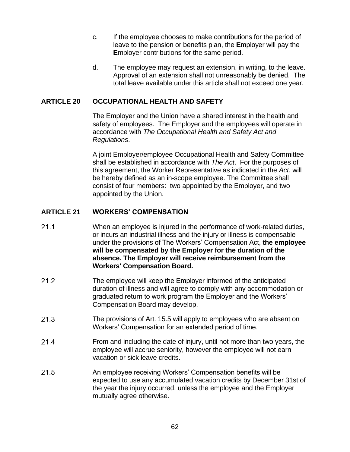- c. If the employee chooses to make contributions for the period of leave to the pension or benefits plan, the **E**mployer will pay the **E**mployer contributions for the same period.
- d. The employee may request an extension, in writing, to the leave. Approval of an extension shall not unreasonably be denied. The total leave available under this article shall not exceed one year.

# **ARTICLE 20 OCCUPATIONAL HEALTH AND SAFETY**

The Employer and the Union have a shared interest in the health and safety of employees. The Employer and the employees will operate in accordance with *The Occupational Health and Safety Act and Regulations*.

A joint Employer/employee Occupational Health and Safety Committee shall be established in accordance with *The Act*. For the purposes of this agreement, the Worker Representative as indicated in the *Act*, will be hereby defined as an in-scope employee. The Committee shall consist of four members: two appointed by the Employer, and two appointed by the Union.

# **ARTICLE 21 WORKERS' COMPENSATION**

- $21.1$ When an employee is injured in the performance of work-related duties, or incurs an industrial illness and the injury or illness is compensable under the provisions of The Workers' Compensation Act, **the employee will be compensated by the Employer for the duration of the absence. The Employer will receive reimbursement from the Workers' Compensation Board.**
- $21.2$ The employee will keep the Employer informed of the anticipated duration of illness and will agree to comply with any accommodation or graduated return to work program the Employer and the Workers' Compensation Board may develop.
- $21.3$ The provisions of Art. 15.5 will apply to employees who are absent on Workers' Compensation for an extended period of time.
- $21.4$ From and including the date of injury, until not more than two years, the employee will accrue seniority, however the employee will not earn vacation or sick leave credits.
- $21.5$ An employee receiving Workers' Compensation benefits will be expected to use any accumulated vacation credits by December 31st of the year the injury occurred, unless the employee and the Employer mutually agree otherwise.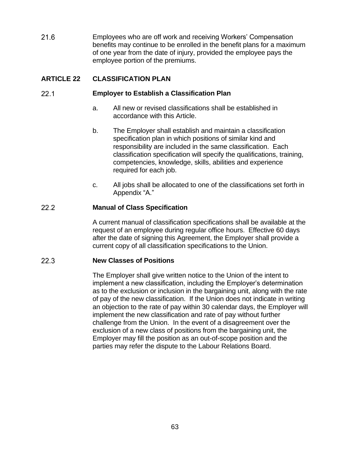21.6 Employees who are off work and receiving Workers' Compensation benefits may continue to be enrolled in the benefit plans for a maximum of one year from the date of injury, provided the employee pays the employee portion of the premiums.

# **ARTICLE 22 CLASSIFICATION PLAN**

## $22.1$ **Employer to Establish a Classification Plan**

- a. All new or revised classifications shall be established in accordance with this Article.
- b. The Employer shall establish and maintain a classification specification plan in which positions of similar kind and responsibility are included in the same classification. Each classification specification will specify the qualifications, training, competencies, knowledge, skills, abilities and experience required for each job.
- c. All jobs shall be allocated to one of the classifications set forth in Appendix "A."

# $22.2$ **Manual of Class Specification**

A current manual of classification specifications shall be available at the request of an employee during regular office hours. Effective 60 days after the date of signing this Agreement, the Employer shall provide a current copy of all classification specifications to the Union.

## $22.3$ **New Classes of Positions**

The Employer shall give written notice to the Union of the intent to implement a new classification, including the Employer's determination as to the exclusion or inclusion in the bargaining unit, along with the rate of pay of the new classification. If the Union does not indicate in writing an objection to the rate of pay within 30 calendar days, the Employer will implement the new classification and rate of pay without further challenge from the Union. In the event of a disagreement over the exclusion of a new class of positions from the bargaining unit, the Employer may fill the position as an out-of-scope position and the parties may refer the dispute to the Labour Relations Board.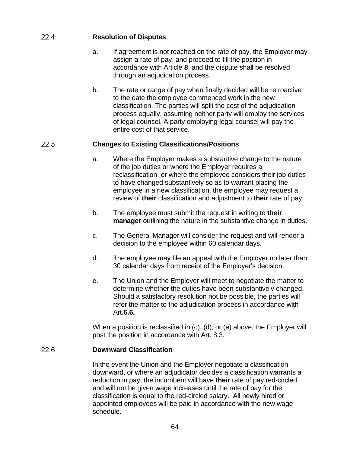# $22.4$ **Resolution of Disputes**

- a. If agreement is not reached on the rate of pay, the Employer may assign a rate of pay, and proceed to fill the position in accordance with Article **8**, and the dispute shall be resolved through an adjudication process.
- b. The rate or range of pay when finally decided will be retroactive to the date the employee commenced work in the new classification. The parties will split the cost of the adjudication process equally, assuming neither party will employ the services of legal counsel. A party employing legal counsel will pay the entire cost of that service.

### 22.5 **Changes to Existing Classifications/Positions**

- a. Where the Employer makes a substantive change to the nature of the job duties or where the Employer requires a reclassification, or where the employee considers their job duties to have changed substantively so as to warrant placing the employee in a new classification, the employee may request a review of **their** classification and adjustment to **their** rate of pay.
- b. The employee must submit the request in writing to **their manager** outlining the nature in the substantive change in duties.
- c. The General Manager will consider the request and will render a decision to the employee within 60 calendar days.
- d. The employee may file an appeal with the Employer no later than 30 calendar days from receipt of the Employer's decision.
- e. The Union and the Employer will meet to negotiate the matter to determine whether the duties have been substantively changed. Should a satisfactory resolution not be possible, the parties will refer the matter to the adjudication process in accordance with Art.**6.6.**

When a position is reclassified in (c), (d), or (e) above, the Employer will post the position in accordance with Art. 8.3.

### $226$ **Downward Classification**

In the event the Union and the Employer negotiate a classification downward, or where an adjudicator decides a classification warrants a reduction in pay, the incumbent will have **their** rate of pay red-circled and will not be given wage increases until the rate of pay for the classification is equal to the red-circled salary. All newly hired or appointed employees will be paid in accordance with the new wage schedule.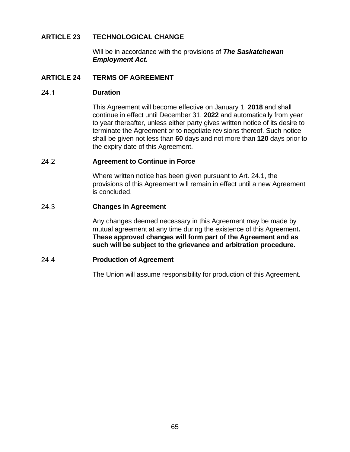# **ARTICLE 23 TECHNOLOGICAL CHANGE**

Will be in accordance with the provisions of *The Saskatchewan Employment Act***.**

# **ARTICLE 24 TERMS OF AGREEMENT**

#### $241$ **Duration**

This Agreement will become effective on January 1, **2018** and shall continue in effect until December 31, **2022** and automatically from year to year thereafter, unless either party gives written notice of its desire to terminate the Agreement or to negotiate revisions thereof. Such notice shall be given not less than **60** days and not more than **120** days prior to the expiry date of this Agreement.

### $24.2$ **Agreement to Continue in Force**

Where written notice has been given pursuant to Art. 24.1, the provisions of this Agreement will remain in effect until a new Agreement is concluded.

## 24.3 **Changes in Agreement**

Any changes deemed necessary in this Agreement may be made by mutual agreement at any time during the existence of this Agreement**. These approved changes will form part of the Agreement and as such will be subject to the grievance and arbitration procedure.**

#### 24.4 **Production of Agreement**

The Union will assume responsibility for production of this Agreement.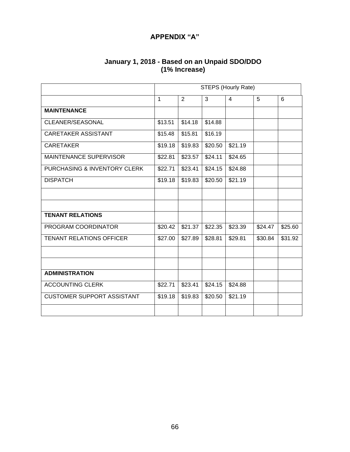# **APPENDIX "A"**

| January 1, 2018 - Based on an Unpaid SDO/DDO |
|----------------------------------------------|
| (1% Increase)                                |

|                                   | <b>STEPS (Hourly Rate)</b> |         |         |                |         |         |
|-----------------------------------|----------------------------|---------|---------|----------------|---------|---------|
|                                   | $\mathbf{1}$               | 2       | 3       | $\overline{4}$ | 5       | 6       |
| <b>MAINTENANCE</b>                |                            |         |         |                |         |         |
| CLEANER/SEASONAL                  | \$13.51                    | \$14.18 | \$14.88 |                |         |         |
| <b>CARETAKER ASSISTANT</b>        | \$15.48                    | \$15.81 | \$16.19 |                |         |         |
| <b>CARETAKER</b>                  | \$19.18                    | \$19.83 | \$20.50 | \$21.19        |         |         |
| <b>MAINTENANCE SUPERVISOR</b>     | \$22.81                    | \$23.57 | \$24.11 | \$24.65        |         |         |
| PURCHASING & INVENTORY CLERK      | \$22.71                    | \$23.41 | \$24.15 | \$24.88        |         |         |
| <b>DISPATCH</b>                   | \$19.18                    | \$19.83 | \$20.50 | \$21.19        |         |         |
|                                   |                            |         |         |                |         |         |
|                                   |                            |         |         |                |         |         |
| <b>TENANT RELATIONS</b>           |                            |         |         |                |         |         |
| PROGRAM COORDINATOR               | \$20.42                    | \$21.37 | \$22.35 | \$23.39        | \$24.47 | \$25.60 |
| <b>TENANT RELATIONS OFFICER</b>   | \$27.00                    | \$27.89 | \$28.81 | \$29.81        | \$30.84 | \$31.92 |
|                                   |                            |         |         |                |         |         |
|                                   |                            |         |         |                |         |         |
| <b>ADMINISTRATION</b>             |                            |         |         |                |         |         |
| <b>ACCOUNTING CLERK</b>           | \$22.71                    | \$23.41 | \$24.15 | \$24.88        |         |         |
| <b>CUSTOMER SUPPORT ASSISTANT</b> | \$19.18                    | \$19.83 | \$20.50 | \$21.19        |         |         |
|                                   |                            |         |         |                |         |         |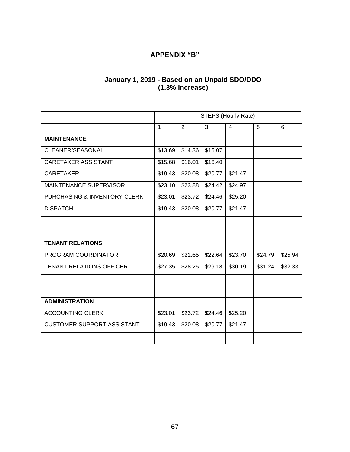# **APPENDIX "B"**

# **January 1, 2019 - Based on an Unpaid SDO/DDO (1.3% Increase)**

|                                   |              | STEPS (Hourly Rate) |         |         |         |         |
|-----------------------------------|--------------|---------------------|---------|---------|---------|---------|
|                                   | $\mathbf{1}$ | 2                   | 3       | 4       | 5       | 6       |
| <b>MAINTENANCE</b>                |              |                     |         |         |         |         |
| CLEANER/SEASONAL                  | \$13.69      | \$14.36             | \$15.07 |         |         |         |
| <b>CARETAKER ASSISTANT</b>        | \$15.68      | \$16.01             | \$16.40 |         |         |         |
| <b>CARETAKER</b>                  | \$19.43      | \$20.08             | \$20.77 | \$21.47 |         |         |
| <b>MAINTENANCE SUPERVISOR</b>     | \$23.10      | \$23.88             | \$24.42 | \$24.97 |         |         |
| PURCHASING & INVENTORY CLERK      | \$23.01      | \$23.72             | \$24.46 | \$25.20 |         |         |
| <b>DISPATCH</b>                   | \$19.43      | \$20.08             | \$20.77 | \$21.47 |         |         |
|                                   |              |                     |         |         |         |         |
|                                   |              |                     |         |         |         |         |
| <b>TENANT RELATIONS</b>           |              |                     |         |         |         |         |
| PROGRAM COORDINATOR               | \$20.69      | \$21.65             | \$22.64 | \$23.70 | \$24.79 | \$25.94 |
| <b>TENANT RELATIONS OFFICER</b>   | \$27.35      | \$28.25             | \$29.18 | \$30.19 | \$31.24 | \$32.33 |
|                                   |              |                     |         |         |         |         |
|                                   |              |                     |         |         |         |         |
| <b>ADMINISTRATION</b>             |              |                     |         |         |         |         |
| <b>ACCOUNTING CLERK</b>           | \$23.01      | \$23.72             | \$24.46 | \$25.20 |         |         |
| <b>CUSTOMER SUPPORT ASSISTANT</b> | \$19.43      | \$20.08             | \$20.77 | \$21.47 |         |         |
|                                   |              |                     |         |         |         |         |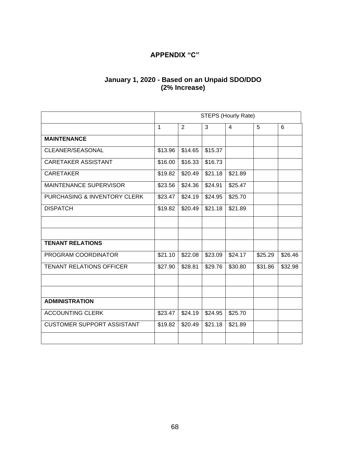# **APPENDIX "C"**

# **January 1, 2020 - Based on an Unpaid SDO/DDO (2% Increase)**

|                                   | <b>STEPS (Hourly Rate)</b> |         |         |                |         |         |
|-----------------------------------|----------------------------|---------|---------|----------------|---------|---------|
|                                   | $\mathbf{1}$               | 2       | 3       | $\overline{4}$ | 5       | 6       |
| <b>MAINTENANCE</b>                |                            |         |         |                |         |         |
| CLEANER/SEASONAL                  | \$13.96                    | \$14.65 | \$15.37 |                |         |         |
| CARETAKER ASSISTANT               | \$16.00                    | \$16.33 | \$16.73 |                |         |         |
| <b>CARETAKER</b>                  | \$19.82                    | \$20.49 | \$21.18 | \$21.89        |         |         |
| <b>MAINTENANCE SUPERVISOR</b>     | \$23.56                    | \$24.36 | \$24.91 | \$25.47        |         |         |
| PURCHASING & INVENTORY CLERK      | \$23.47                    | \$24.19 | \$24.95 | \$25.70        |         |         |
| <b>DISPATCH</b>                   | \$19.82                    | \$20.49 | \$21.18 | \$21.89        |         |         |
|                                   |                            |         |         |                |         |         |
|                                   |                            |         |         |                |         |         |
| <b>TENANT RELATIONS</b>           |                            |         |         |                |         |         |
| PROGRAM COORDINATOR               | \$21.10                    | \$22.08 | \$23.09 | \$24.17        | \$25.29 | \$26.46 |
| <b>TENANT RELATIONS OFFICER</b>   | \$27.90                    | \$28.81 | \$29.76 | \$30.80        | \$31.86 | \$32.98 |
|                                   |                            |         |         |                |         |         |
|                                   |                            |         |         |                |         |         |
| <b>ADMINISTRATION</b>             |                            |         |         |                |         |         |
| <b>ACCOUNTING CLERK</b>           | \$23.47                    | \$24.19 | \$24.95 | \$25.70        |         |         |
| <b>CUSTOMER SUPPORT ASSISTANT</b> | \$19.82                    | \$20.49 | \$21.18 | \$21.89        |         |         |
|                                   |                            |         |         |                |         |         |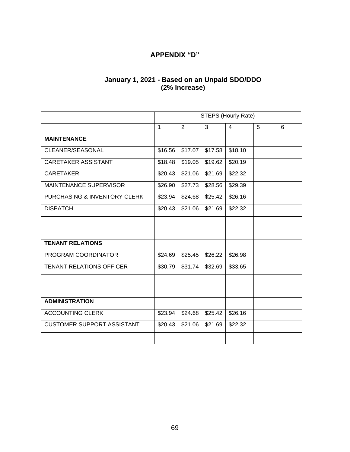# **APPENDIX "D"**

# **January 1, 2021 - Based on an Unpaid SDO/DDO (2% Increase)**

|                                   | <b>STEPS (Hourly Rate)</b> |         |         |                |   |   |
|-----------------------------------|----------------------------|---------|---------|----------------|---|---|
|                                   | $\mathbf{1}$               | 2       | 3       | $\overline{4}$ | 5 | 6 |
| <b>MAINTENANCE</b>                |                            |         |         |                |   |   |
| CLEANER/SEASONAL                  | \$16.56                    | \$17.07 | \$17.58 | \$18.10        |   |   |
| <b>CARETAKER ASSISTANT</b>        | \$18.48                    | \$19.05 | \$19.62 | \$20.19        |   |   |
| <b>CARETAKER</b>                  | \$20.43                    | \$21.06 | \$21.69 | \$22.32        |   |   |
| <b>MAINTENANCE SUPERVISOR</b>     | \$26.90                    | \$27.73 | \$28.56 | \$29.39        |   |   |
| PURCHASING & INVENTORY CLERK      | \$23.94                    | \$24.68 | \$25.42 | \$26.16        |   |   |
| <b>DISPATCH</b>                   | \$20.43                    | \$21.06 | \$21.69 | \$22.32        |   |   |
|                                   |                            |         |         |                |   |   |
|                                   |                            |         |         |                |   |   |
| <b>TENANT RELATIONS</b>           |                            |         |         |                |   |   |
| PROGRAM COORDINATOR               | \$24.69                    | \$25.45 | \$26.22 | \$26.98        |   |   |
| <b>TENANT RELATIONS OFFICER</b>   | \$30.79                    | \$31.74 | \$32.69 | \$33.65        |   |   |
|                                   |                            |         |         |                |   |   |
|                                   |                            |         |         |                |   |   |
| <b>ADMINISTRATION</b>             |                            |         |         |                |   |   |
| <b>ACCOUNTING CLERK</b>           | \$23.94                    | \$24.68 | \$25.42 | \$26.16        |   |   |
| <b>CUSTOMER SUPPORT ASSISTANT</b> | \$20.43                    | \$21.06 | \$21.69 | \$22.32        |   |   |
|                                   |                            |         |         |                |   |   |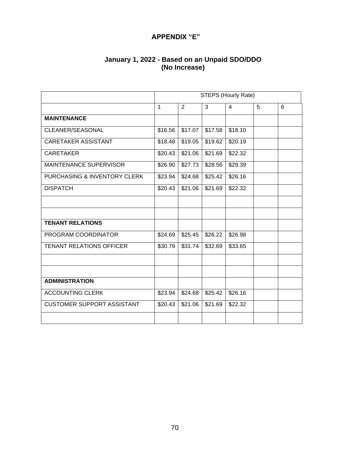# **APPENDIX "E"**

# **January 1, 2022 - Based on an Unpaid SDO/DDO (No Increase)**

|                                   |              | <b>STEPS (Hourly Rate)</b> |         |         |   |   |  |
|-----------------------------------|--------------|----------------------------|---------|---------|---|---|--|
|                                   | $\mathbf{1}$ | 2                          | 3       | 4       | 5 | 6 |  |
| <b>MAINTENANCE</b>                |              |                            |         |         |   |   |  |
| CLEANER/SEASONAL                  | \$16.56      | \$17.07                    | \$17.58 | \$18.10 |   |   |  |
| <b>CARETAKER ASSISTANT</b>        | \$18.48      | \$19.05                    | \$19.62 | \$20.19 |   |   |  |
| <b>CARETAKER</b>                  | \$20.43      | \$21.06                    | \$21.69 | \$22.32 |   |   |  |
| MAINTENANCE SUPERVISOR            | \$26.90      | \$27.73                    | \$28.56 | \$29.39 |   |   |  |
| PURCHASING & INVENTORY CLERK      | \$23.94      | \$24.68                    | \$25.42 | \$26.16 |   |   |  |
| <b>DISPATCH</b>                   | \$20.43      | \$21.06                    | \$21.69 | \$22.32 |   |   |  |
|                                   |              |                            |         |         |   |   |  |
|                                   |              |                            |         |         |   |   |  |
| <b>TENANT RELATIONS</b>           |              |                            |         |         |   |   |  |
| PROGRAM COORDINATOR               | \$24.69      | \$25.45                    | \$26.22 | \$26.98 |   |   |  |
| <b>TENANT RELATIONS OFFICER</b>   | \$30.79      | \$31.74                    | \$32.69 | \$33.65 |   |   |  |
|                                   |              |                            |         |         |   |   |  |
|                                   |              |                            |         |         |   |   |  |
| <b>ADMINISTRATION</b>             |              |                            |         |         |   |   |  |
| <b>ACCOUNTING CLERK</b>           | \$23.94      | \$24.68                    | \$25.42 | \$26.16 |   |   |  |
| <b>CUSTOMER SUPPORT ASSISTANT</b> | \$20.43      | \$21.06                    | \$21.69 | \$22.32 |   |   |  |
|                                   |              |                            |         |         |   |   |  |